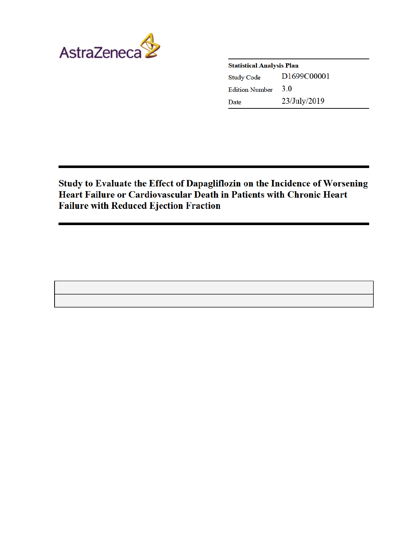

| <b>Statistical Analysis Plan</b> |              |  |
|----------------------------------|--------------|--|
| <b>Study Code</b>                | D1699C00001  |  |
| <b>Edition Number</b>            | 3.0          |  |
| Date                             | 23/July/2019 |  |

Study to Evaluate the Effect of Dapagliflozin on the Incidence of Worsening Heart Failure or Cardiovascular Death in Patients with Chronic Heart **Failure with Reduced Ejection Fraction**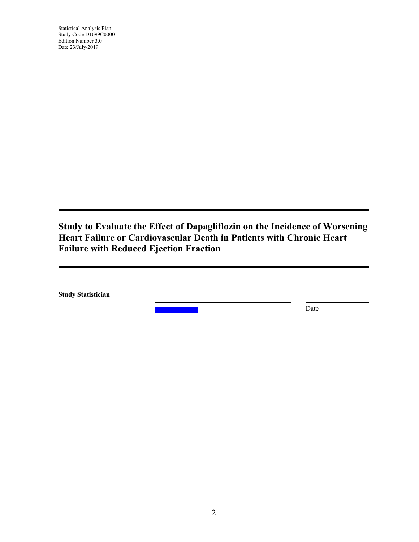Statistical Analysis Plan Study Code D1699C00001 Edition Number 3.0 Date 23/July/2019

**Study to Evaluate the Effect of Dapagliflozin on the Incidence of Worsening Heart Failure or Cardiovascular Death in Patients with Chronic Heart Failure with Reduced Ejection Fraction**

 **Study Statistician**

Date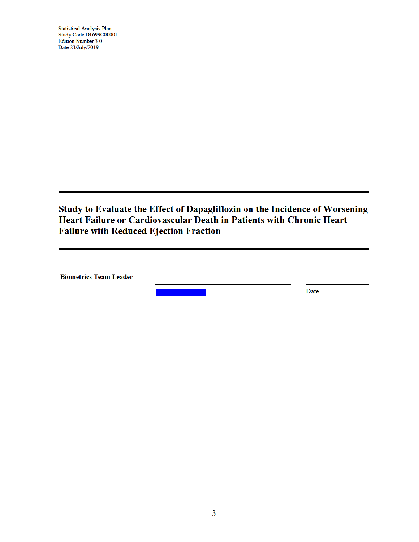**Statistical Analysis Plan** Study Code D1699C00001 **Edition Number 3.0** Date 23/July/2019

Study to Evaluate the Effect of Dapagliflozin on the Incidence of Worsening Heart Failure or Cardiovascular Death in Patients with Chronic Heart **Failure with Reduced Ejection Fraction** 

**Biometrics Team Leader** 

Date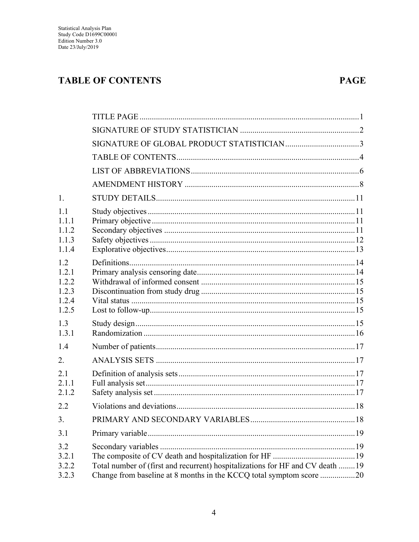# **TABLE OF CONTENTS**

## **PAGE**

| 1.                                             |                                                                                                                                                      |  |
|------------------------------------------------|------------------------------------------------------------------------------------------------------------------------------------------------------|--|
| 1.1<br>111<br>1.1.2<br>1.1.3<br>1.1.4          |                                                                                                                                                      |  |
| 1.2<br>1.2.1<br>1.2.2<br>123<br>1.2.4<br>1.2.5 |                                                                                                                                                      |  |
| 1.3<br>1.3.1                                   |                                                                                                                                                      |  |
| 1.4                                            |                                                                                                                                                      |  |
| 2.                                             |                                                                                                                                                      |  |
| 2.1<br>2.1.1<br>2.1.2                          |                                                                                                                                                      |  |
| 2.2                                            |                                                                                                                                                      |  |
| 3.                                             |                                                                                                                                                      |  |
| 3.1                                            |                                                                                                                                                      |  |
| 3.2<br>3.2.1<br>3.2.2<br>3.2.3                 | Total number of (first and recurrent) hospitalizations for HF and CV death 19<br>Change from baseline at 8 months in the KCCQ total symptom score 20 |  |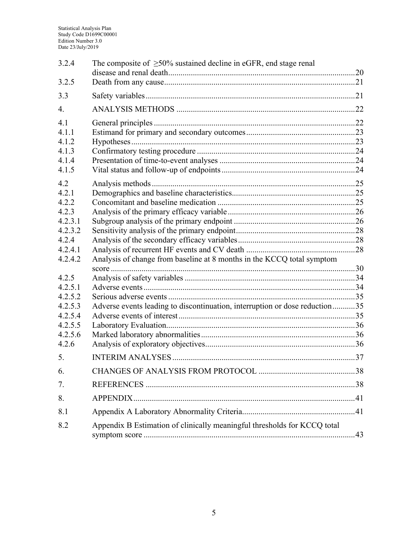| 3.2.4   | The composite of $\geq 50\%$ sustained decline in eGFR, end stage renal     |  |
|---------|-----------------------------------------------------------------------------|--|
| 3.2.5   |                                                                             |  |
| 3.3     |                                                                             |  |
| 4.      |                                                                             |  |
| 4.1     |                                                                             |  |
| 4.1.1   |                                                                             |  |
| 4.1.2   |                                                                             |  |
| 4.1.3   |                                                                             |  |
| 4.1.4   |                                                                             |  |
| 4.1.5   |                                                                             |  |
| 4.2     |                                                                             |  |
| 4.2.1   |                                                                             |  |
| 4.2.2   |                                                                             |  |
| 4.2.3   |                                                                             |  |
| 4.2.3.1 |                                                                             |  |
| 4.2.3.2 |                                                                             |  |
| 4.2.4   |                                                                             |  |
| 4.2.4.1 |                                                                             |  |
| 4.2.4.2 | Analysis of change from baseline at 8 months in the KCCQ total symptom      |  |
|         |                                                                             |  |
| 4.2.5   |                                                                             |  |
| 4.2.5.1 |                                                                             |  |
| 4.2.5.2 |                                                                             |  |
| 4.2.5.3 | Adverse events leading to discontinuation, interruption or dose reduction35 |  |
| 4.2.5.4 |                                                                             |  |
| 4.2.5.5 |                                                                             |  |
| 4.2.5.6 |                                                                             |  |
| 4.2.6   |                                                                             |  |
| 5.      |                                                                             |  |
| 6.      |                                                                             |  |
| 7.      |                                                                             |  |
| 8.      |                                                                             |  |
| 8.1     |                                                                             |  |
| 8.2     | Appendix B Estimation of clinically meaningful thresholds for KCCQ total    |  |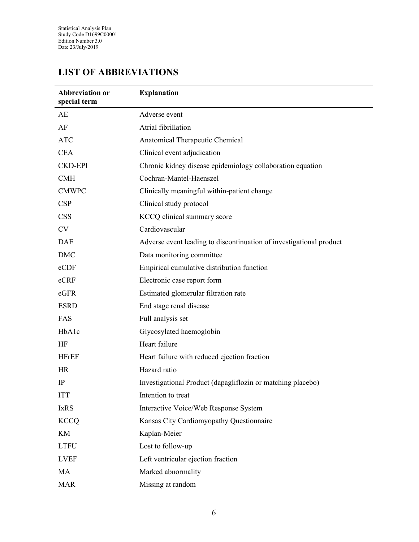# **LIST OF ABBREVIATIONS**

| Abbreviation or<br>special term | <b>Explanation</b>                                                  |
|---------------------------------|---------------------------------------------------------------------|
| AE                              | Adverse event                                                       |
| AF                              | Atrial fibrillation                                                 |
| <b>ATC</b>                      | Anatomical Therapeutic Chemical                                     |
| <b>CEA</b>                      | Clinical event adjudication                                         |
| <b>CKD-EPI</b>                  | Chronic kidney disease epidemiology collaboration equation          |
| <b>CMH</b>                      | Cochran-Mantel-Haenszel                                             |
| <b>CMWPC</b>                    | Clinically meaningful within-patient change                         |
| <b>CSP</b>                      | Clinical study protocol                                             |
| <b>CSS</b>                      | KCCQ clinical summary score                                         |
| <b>CV</b>                       | Cardiovascular                                                      |
| <b>DAE</b>                      | Adverse event leading to discontinuation of investigational product |
| <b>DMC</b>                      | Data monitoring committee                                           |
| eCDF                            | Empirical cumulative distribution function                          |
| eCRF                            | Electronic case report form                                         |
| eGFR                            | Estimated glomerular filtration rate                                |
| <b>ESRD</b>                     | End stage renal disease                                             |
| FAS                             | Full analysis set                                                   |
| HbAlc                           | Glycosylated haemoglobin                                            |
| HF                              | Heart failure                                                       |
| <b>HFrEF</b>                    | Heart failure with reduced ejection fraction                        |
| <b>HR</b>                       | Hazard ratio                                                        |
| IP                              | Investigational Product (dapagliflozin or matching placebo)         |
| <b>ITT</b>                      | Intention to treat                                                  |
| <b>IxRS</b>                     | Interactive Voice/Web Response System                               |
| <b>KCCQ</b>                     | Kansas City Cardiomyopathy Questionnaire                            |
| KM                              | Kaplan-Meier                                                        |
| <b>LTFU</b>                     | Lost to follow-up                                                   |
| <b>LVEF</b>                     | Left ventricular ejection fraction                                  |
| MA                              | Marked abnormality                                                  |
| <b>MAR</b>                      | Missing at random                                                   |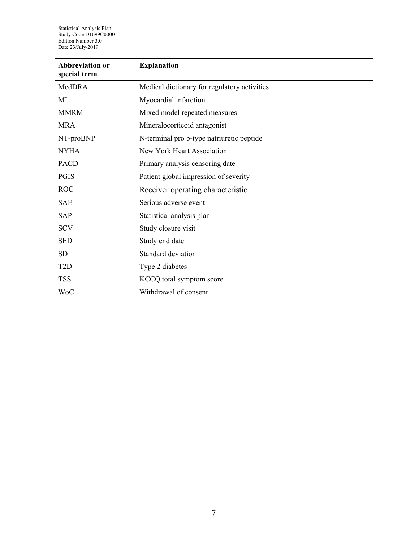Statistical Analysis Plan Study Code D1699C00001 Edition Number 3.0 Date 23/July/2019

| <b>Abbreviation or</b><br>special term | <b>Explanation</b>                           |
|----------------------------------------|----------------------------------------------|
| MedDRA                                 | Medical dictionary for regulatory activities |
| MI                                     | Myocardial infarction                        |
| <b>MMRM</b>                            | Mixed model repeated measures                |
| <b>MRA</b>                             | Mineralocorticoid antagonist                 |
| NT-proBNP                              | N-terminal pro b-type natriuretic peptide    |
| <b>NYHA</b>                            | New York Heart Association                   |
| <b>PACD</b>                            | Primary analysis censoring date              |
| <b>PGIS</b>                            | Patient global impression of severity        |
| <b>ROC</b>                             | Receiver operating characteristic            |
| <b>SAE</b>                             | Serious adverse event                        |
| <b>SAP</b>                             | Statistical analysis plan                    |
| <b>SCV</b>                             | Study closure visit                          |
| <b>SED</b>                             | Study end date                               |
| <b>SD</b>                              | Standard deviation                           |
| T <sub>2</sub> D                       | Type 2 diabetes                              |
| <b>TSS</b>                             | KCCQ total symptom score                     |
| <b>WoC</b>                             | Withdrawal of consent                        |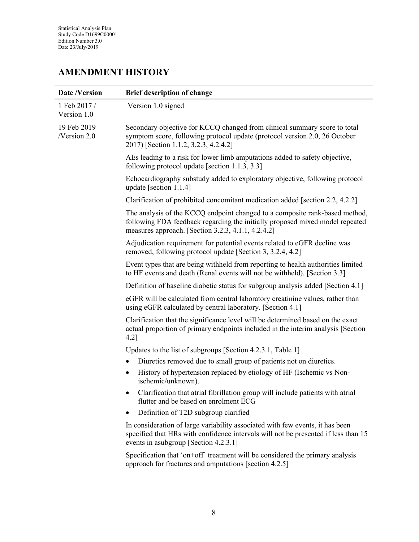## **AMENDMENT HISTORY**

| <b>Date /Version</b>        | <b>Brief description of change</b>                                                                                                                                                                                |  |
|-----------------------------|-------------------------------------------------------------------------------------------------------------------------------------------------------------------------------------------------------------------|--|
| 1 Feb 2017 /<br>Version 1.0 | Version 1.0 signed                                                                                                                                                                                                |  |
| 19 Feb 2019<br>/Version 2.0 | Secondary objective for KCCQ changed from clinical summary score to total<br>symptom score, following protocol update (protocol version 2.0, 26 October<br>2017) [Section 1.1.2, 3.2.3, 4.2.4.2]                  |  |
|                             | AEs leading to a risk for lower limb amputations added to safety objective,<br>following protocol update [section 1.1.3, 3.3]                                                                                     |  |
|                             | Echocardiography substudy added to exploratory objective, following protocol<br>update [section $1.1.4$ ]                                                                                                         |  |
|                             | Clarification of prohibited concomitant medication added [section 2.2, 4.2.2]                                                                                                                                     |  |
|                             | The analysis of the KCCQ endpoint changed to a composite rank-based method,<br>following FDA feedback regarding the initially proposed mixed model repeated<br>measures approach. [Section 3.2.3, 4.1.1, 4.2.4.2] |  |
|                             | Adjudication requirement for potential events related to eGFR decline was<br>removed, following protocol update [Section 3, 3.2.4, 4.2]                                                                           |  |
|                             | Event types that are being withheld from reporting to health authorities limited<br>to HF events and death (Renal events will not be withheld). [Section 3.3]                                                     |  |
|                             | Definition of baseline diabetic status for subgroup analysis added [Section 4.1]                                                                                                                                  |  |
|                             | eGFR will be calculated from central laboratory creatinine values, rather than<br>using eGFR calculated by central laboratory. [Section 4.1]                                                                      |  |
|                             | Clarification that the significance level will be determined based on the exact<br>actual proportion of primary endpoints included in the interim analysis [Section<br>$4.2$ ]                                    |  |
|                             | Updates to the list of subgroups [Section 4.2.3.1, Table 1]                                                                                                                                                       |  |
|                             | Diuretics removed due to small group of patients not on diuretics.                                                                                                                                                |  |
|                             | History of hypertension replaced by etiology of HF (Ischemic vs Non-<br>ischemic/unknown).                                                                                                                        |  |
|                             | Clarification that atrial fibrillation group will include patients with atrial<br>٠<br>flutter and be based on enrolment ECG                                                                                      |  |
|                             | Definition of T2D subgroup clarified                                                                                                                                                                              |  |
|                             | In consideration of large variability associated with few events, it has been<br>specified that HRs with confidence intervals will not be presented if less than 15<br>events in asubgroup [Section 4.2.3.1]      |  |
|                             | Specification that 'on+off' treatment will be considered the primary analysis<br>approach for fractures and amputations [section 4.2.5]                                                                           |  |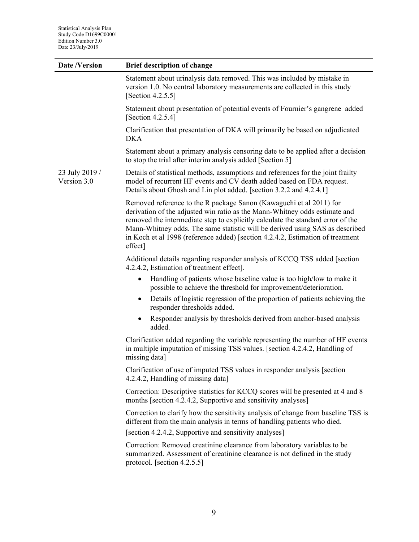| <b>Date /Version</b>          | <b>Brief description of change</b>                                                                                                                                                                                                                                                                                                                                                                                |  |
|-------------------------------|-------------------------------------------------------------------------------------------------------------------------------------------------------------------------------------------------------------------------------------------------------------------------------------------------------------------------------------------------------------------------------------------------------------------|--|
|                               | Statement about urinalysis data removed. This was included by mistake in<br>version 1.0. No central laboratory measurements are collected in this study<br>[Section $4.2.5.5$ ]                                                                                                                                                                                                                                   |  |
|                               | Statement about presentation of potential events of Fournier's gangrene added<br>[Section 4.2.5.4]                                                                                                                                                                                                                                                                                                                |  |
|                               | Clarification that presentation of DKA will primarily be based on adjudicated<br><b>DKA</b>                                                                                                                                                                                                                                                                                                                       |  |
|                               | Statement about a primary analysis censoring date to be applied after a decision<br>to stop the trial after interim analysis added [Section 5]                                                                                                                                                                                                                                                                    |  |
| 23 July 2019 /<br>Version 3.0 | Details of statistical methods, assumptions and references for the joint frailty<br>model of recurrent HF events and CV death added based on FDA request.<br>Details about Ghosh and Lin plot added. [section 3.2.2 and 4.2.4.1]                                                                                                                                                                                  |  |
|                               | Removed reference to the R package Sanon (Kawaguchi et al 2011) for<br>derivation of the adjusted win ratio as the Mann-Whitney odds estimate and<br>removed the intermediate step to explicitly calculate the standard error of the<br>Mann-Whitney odds. The same statistic will be derived using SAS as described<br>in Koch et al 1998 (reference added) [section 4.2.4.2, Estimation of treatment<br>effect] |  |
|                               | Additional details regarding responder analysis of KCCQ TSS added [section<br>4.2.4.2, Estimation of treatment effect].                                                                                                                                                                                                                                                                                           |  |
|                               | Handling of patients whose baseline value is too high/low to make it<br>$\bullet$<br>possible to achieve the threshold for improvement/deterioration.                                                                                                                                                                                                                                                             |  |
|                               | Details of logistic regression of the proportion of patients achieving the<br>٠<br>responder thresholds added.                                                                                                                                                                                                                                                                                                    |  |
|                               | Responder analysis by thresholds derived from anchor-based analysis<br>٠<br>added.                                                                                                                                                                                                                                                                                                                                |  |
|                               | Clarification added regarding the variable representing the number of HF events<br>in multiple imputation of missing TSS values. [section 4.2.4.2, Handling of<br>missing data]                                                                                                                                                                                                                                   |  |
|                               | Clarification of use of imputed TSS values in responder analysis [section]<br>4.2.4.2, Handling of missing data]                                                                                                                                                                                                                                                                                                  |  |
|                               | Correction: Descriptive statistics for KCCQ scores will be presented at 4 and 8<br>months [section 4.2.4.2, Supportive and sensitivity analyses]                                                                                                                                                                                                                                                                  |  |
|                               | Correction to clarify how the sensitivity analysis of change from baseline TSS is<br>different from the main analysis in terms of handling patients who died.<br>[section 4.2.4.2, Supportive and sensitivity analyses]                                                                                                                                                                                           |  |
|                               | Correction: Removed creatinine clearance from laboratory variables to be<br>summarized. Assessment of creatinine clearance is not defined in the study<br>protocol. [section $4.2.5.5$ ]                                                                                                                                                                                                                          |  |
|                               |                                                                                                                                                                                                                                                                                                                                                                                                                   |  |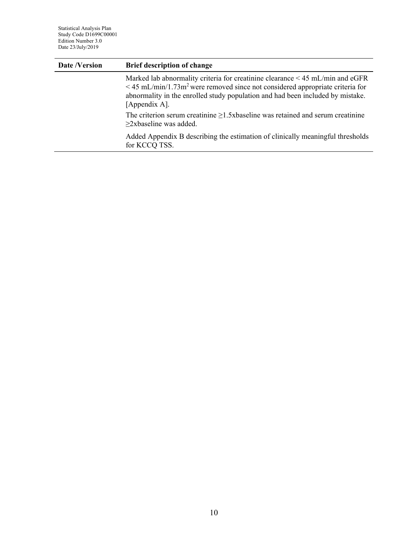| Date /Version | <b>Brief description of change</b>                                                                                                                                                                                                                                                      |  |
|---------------|-----------------------------------------------------------------------------------------------------------------------------------------------------------------------------------------------------------------------------------------------------------------------------------------|--|
|               | Marked lab abnormality criteria for creatinine clearance $\leq 45$ mL/min and eGFR<br>$\leq$ 45 mL/min/1.73m <sup>2</sup> were removed since not considered appropriate criteria for<br>abnormality in the enrolled study population and had been included by mistake.<br>[Appendix A]. |  |
|               | The criterion serum creatinine $\geq$ 1.5xbaseline was retained and serum creatinine<br>$\geq$ 2xbaseline was added.                                                                                                                                                                    |  |
|               | Added Appendix B describing the estimation of clinically meaningful thresholds<br>for KCCQ TSS.                                                                                                                                                                                         |  |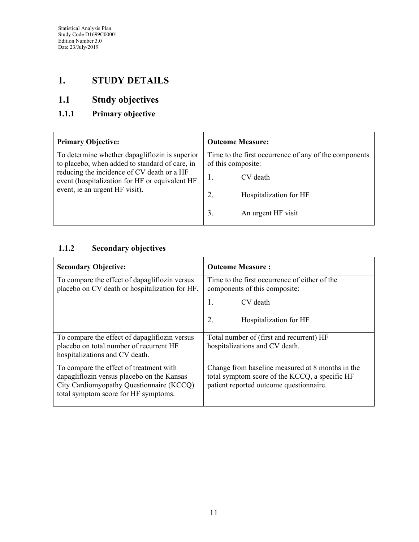## **1. STUDY DETAILS**

# **1.1 Study objectives**

## <span id="page-10-0"></span>**1.1.1 Primary objective**

| <b>Primary Objective:</b>                                                                                                                                                                                                          | <b>Outcome Measure:</b>                                                                                                                                         |
|------------------------------------------------------------------------------------------------------------------------------------------------------------------------------------------------------------------------------------|-----------------------------------------------------------------------------------------------------------------------------------------------------------------|
| To determine whether dapagliflozin is superior<br>to placebo, when added to standard of care, in<br>reducing the incidence of CV death or a HF<br>event (hospitalization for HF or equivalent HF<br>event, ie an urgent HF visit). | Time to the first occurrence of any of the components<br>of this composite:<br>CV death<br>2.<br>Hospitalization for HF<br>$\mathfrak{Z}$<br>An urgent HF visit |

### <span id="page-10-1"></span>**1.1.2 Secondary objectives**

| <b>Secondary Objective:</b>                                                                                                                                               | <b>Outcome Measure:</b>                                                                                                                       |
|---------------------------------------------------------------------------------------------------------------------------------------------------------------------------|-----------------------------------------------------------------------------------------------------------------------------------------------|
| To compare the effect of dapagliflozin versus<br>placebo on CV death or hospitalization for HF.                                                                           | Time to the first occurrence of either of the<br>components of this composite:                                                                |
|                                                                                                                                                                           | 1.<br>CV death                                                                                                                                |
|                                                                                                                                                                           | 2.<br>Hospitalization for HF                                                                                                                  |
| To compare the effect of dapagliflozin versus<br>placebo on total number of recurrent HF<br>hospitalizations and CV death.                                                | Total number of (first and recurrent) HF<br>hospitalizations and CV death.                                                                    |
| To compare the effect of treatment with<br>dapagliflozin versus placebo on the Kansas<br>City Cardiomyopathy Questionnaire (KCCQ)<br>total symptom score for HF symptoms. | Change from baseline measured at 8 months in the<br>total symptom score of the KCCQ, a specific HF<br>patient reported outcome questionnaire. |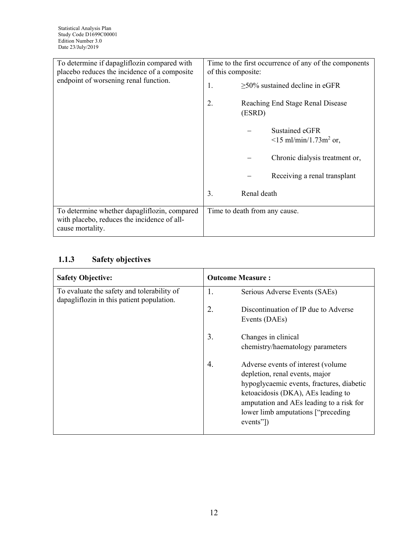| To determine if dapagliflozin compared with<br>placebo reduces the incidence of a composite<br>endpoint of worsening renal function. | Time to the first occurrence of any of the components<br>of this composite:<br>$>50\%$ sustained decline in eGFR<br>1.<br>$\overline{2}$ .<br>Reaching End Stage Renal Disease<br>(ESRD)<br>Sustained eGFR<br>$\leq$ 15 ml/min/1.73m <sup>2</sup> or,<br>Chronic dialysis treatment or,<br>Receiving a renal transplant<br>Renal death<br>3. |
|--------------------------------------------------------------------------------------------------------------------------------------|----------------------------------------------------------------------------------------------------------------------------------------------------------------------------------------------------------------------------------------------------------------------------------------------------------------------------------------------|
|                                                                                                                                      |                                                                                                                                                                                                                                                                                                                                              |
| To determine whether dapagliflozin, compared<br>with placebo, reduces the incidence of all-<br>cause mortality.                      | Time to death from any cause.                                                                                                                                                                                                                                                                                                                |

## **1.1.3 Safety objectives**

| <b>Safety Objective:</b>                                                                | <b>Outcome Measure:</b>                    |
|-----------------------------------------------------------------------------------------|--------------------------------------------|
| To evaluate the safety and tolerability of<br>dapagliflozin in this patient population. | 1.<br>Serious Adverse Events (SAEs)        |
|                                                                                         | 2.<br>Discontinuation of IP due to Adverse |
|                                                                                         | Events (DAEs)                              |
|                                                                                         | 3.<br>Changes in clinical                  |
|                                                                                         | chemistry/haematology parameters           |
|                                                                                         | 4.<br>Adverse events of interest (volume)  |
|                                                                                         | depletion, renal events, major             |
|                                                                                         | hypoglycaemic events, fractures, diabetic  |
|                                                                                         | ketoacidosis (DKA), AEs leading to         |
|                                                                                         | amputation and AEs leading to a risk for   |
|                                                                                         | lower limb amputations ["preceding"]       |
|                                                                                         | events"])                                  |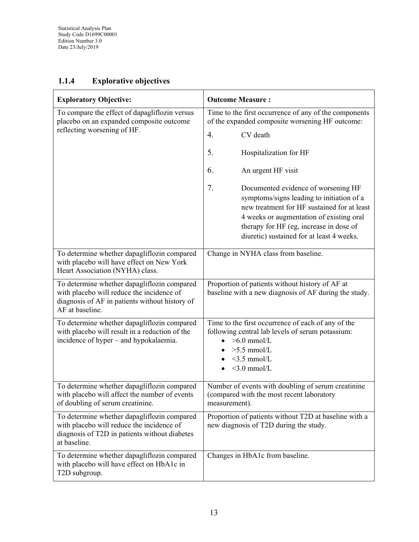## **1.1.4 Explorative objectives**

| <b>Exploratory Objective:</b>                                                                                                                                 | <b>Outcome Measure:</b>                                                                                                                                                                                                                                                   |  |  |  |  |
|---------------------------------------------------------------------------------------------------------------------------------------------------------------|---------------------------------------------------------------------------------------------------------------------------------------------------------------------------------------------------------------------------------------------------------------------------|--|--|--|--|
| To compare the effect of dapagliflozin versus<br>placebo on an expanded composite outcome                                                                     | Time to the first occurrence of any of the components<br>of the expanded composite worsening HF outcome:                                                                                                                                                                  |  |  |  |  |
| reflecting worsening of HF.                                                                                                                                   | $\overline{4}$ .<br>CV death                                                                                                                                                                                                                                              |  |  |  |  |
|                                                                                                                                                               | 5.<br>Hospitalization for HF                                                                                                                                                                                                                                              |  |  |  |  |
|                                                                                                                                                               | 6.<br>An urgent HF visit                                                                                                                                                                                                                                                  |  |  |  |  |
|                                                                                                                                                               | 7.<br>Documented evidence of worsening HF<br>symptoms/signs leading to initiation of a<br>new treatment for HF sustained for at least<br>4 weeks or augmentation of existing oral<br>therapy for HF (eg, increase in dose of<br>diuretic) sustained for at least 4 weeks. |  |  |  |  |
| To determine whether dapagliflozin compared<br>with placebo will have effect on New York<br>Heart Association (NYHA) class.                                   | Change in NYHA class from baseline.                                                                                                                                                                                                                                       |  |  |  |  |
| To determine whether dapagliflozin compared<br>with placebo will reduce the incidence of<br>diagnosis of AF in patients without history of<br>AF at baseline. | Proportion of patients without history of AF at<br>baseline with a new diagnosis of AF during the study.                                                                                                                                                                  |  |  |  |  |
| To determine whether dapagliflozin compared<br>with placebo will result in a reduction of the<br>incidence of hyper – and hypokalaemia.                       | Time to the first occurrence of each of any of the<br>following central lab levels of serum potassium:<br>$>6.0$ mmol/L<br>$>5.5$ mmol/L<br>$<$ 3.5 mmol/L<br>$<$ 3.0 mmol/L                                                                                              |  |  |  |  |
| To determine whether dapagliflozin compared<br>with placebo will affect the number of events<br>of doubling of serum creatinine.                              | Number of events with doubling of serum creatinine<br>(compared with the most recent laboratory<br>measurement).                                                                                                                                                          |  |  |  |  |
| To determine whether dapagliflozin compared<br>with placebo will reduce the incidence of<br>diagnosis of T2D in patients without diabetes<br>at baseline.     | Proportion of patients without T2D at baseline with a<br>new diagnosis of T2D during the study.                                                                                                                                                                           |  |  |  |  |
| To determine whether dapagliflozin compared<br>with placebo will have effect on HbA1c in<br>T2D subgroup.                                                     | Changes in HbA1c from baseline.                                                                                                                                                                                                                                           |  |  |  |  |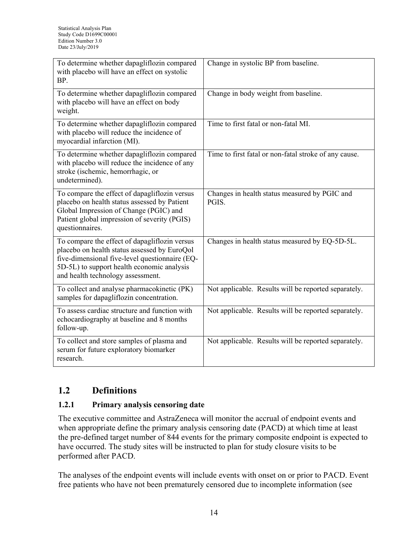| To determine whether dapagliflozin compared<br>with placebo will have an effect on systolic<br>BP.                                                                                                                                 | Change in systolic BP from baseline.                   |
|------------------------------------------------------------------------------------------------------------------------------------------------------------------------------------------------------------------------------------|--------------------------------------------------------|
| To determine whether dapagliflozin compared<br>with placebo will have an effect on body<br>weight.                                                                                                                                 | Change in body weight from baseline.                   |
| To determine whether dapagliflozin compared<br>with placebo will reduce the incidence of<br>myocardial infarction (MI).                                                                                                            | Time to first fatal or non-fatal MI.                   |
| To determine whether dapagliflozin compared<br>with placebo will reduce the incidence of any<br>stroke (ischemic, hemorrhagic, or<br>undetermined).                                                                                | Time to first fatal or non-fatal stroke of any cause.  |
| To compare the effect of dapagliflozin versus<br>placebo on health status assessed by Patient<br>Global Impression of Change (PGIC) and<br>Patient global impression of severity (PGIS)<br>questionnaires.                         | Changes in health status measured by PGIC and<br>PGIS. |
| To compare the effect of dapagliflozin versus<br>placebo on health status assessed by EuroQol<br>five-dimensional five-level questionnaire (EQ-<br>5D-5L) to support health economic analysis<br>and health technology assessment. | Changes in health status measured by EQ-5D-5L.         |
| To collect and analyse pharmacokinetic (PK)<br>samples for dapagliflozin concentration.                                                                                                                                            | Not applicable. Results will be reported separately.   |
| To assess cardiac structure and function with<br>echocardiography at baseline and 8 months<br>follow-up.                                                                                                                           | Not applicable. Results will be reported separately.   |
| To collect and store samples of plasma and<br>serum for future exploratory biomarker<br>research.                                                                                                                                  | Not applicable. Results will be reported separately.   |

## **1.2 Definitions**

#### **1.2.1 Primary analysis censoring date**

The executive committee and AstraZeneca will monitor the accrual of endpoint events and when appropriate define the primary analysis censoring date (PACD) at which time at least the pre-defined target number of 844 events for the primary composite endpoint is expected to have occurred. The study sites will be instructed to plan for study closure visits to be performed after PACD.

The analyses of the endpoint events will include events with onset on or prior to PACD. Event free patients who have not been prematurely censored due to incomplete information (see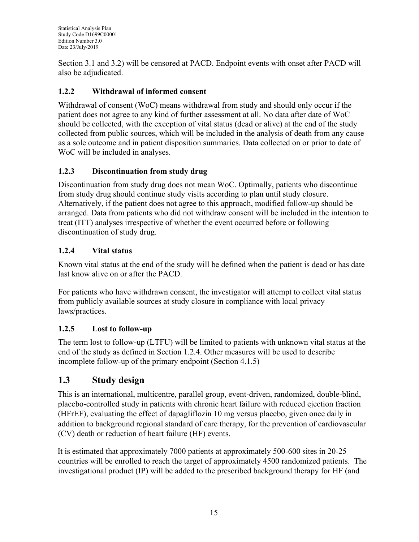Section [3.1](#page-18-0) and [3.2\)](#page-18-1) will be censored at PACD. Endpoint events with onset after PACD will also be adjudicated.

## **1.2.2 Withdrawal of informed consent**

Withdrawal of consent (WoC) means withdrawal from study and should only occur if the patient does not agree to any kind of further assessment at all. No data after date of WoC should be collected, with the exception of vital status (dead or alive) at the end of the study collected from public sources, which will be included in the analysis of death from any cause as a sole outcome and in patient disposition summaries. Data collected on or prior to date of WoC will be included in analyses.

## **1.2.3 Discontinuation from study drug**

Discontinuation from study drug does not mean WoC. Optimally, patients who discontinue from study drug should continue study visits according to plan until study closure. Alternatively, if the patient does not agree to this approach, modified follow-up should be arranged. Data from patients who did not withdraw consent will be included in the intention to treat (ITT) analyses irrespective of whether the event occurred before or following discontinuation of study drug.

## <span id="page-14-0"></span>**1.2.4 Vital status**

Known vital status at the end of the study will be defined when the patient is dead or has date last know alive on or after the PACD.

For patients who have withdrawn consent, the investigator will attempt to collect vital status from publicly available sources at study closure in compliance with local privacy laws/practices.

## **1.2.5 Lost to follow-up**

The term lost to follow-up (LTFU) will be limited to patients with unknown vital status at the end of the study as defined in Section [1.2.4.](#page-14-0) Other measures will be used to describe incomplete follow-up of the primary endpoint (Section [4.1.5\)](#page-23-0)

# **1.3 Study design**

This is an international, multicentre, parallel group, event-driven, randomized, double-blind, placebo-controlled study in patients with chronic heart failure with reduced ejection fraction (HFrEF), evaluating the effect of dapagliflozin 10 mg versus placebo, given once daily in addition to background regional standard of care therapy, for the prevention of cardiovascular (CV) death or reduction of heart failure (HF) events.

It is estimated that approximately 7000 patients at approximately 500-600 sites in 20-25 countries will be enrolled to reach the target of approximately 4500 randomized patients. The investigational product (IP) will be added to the prescribed background therapy for HF (and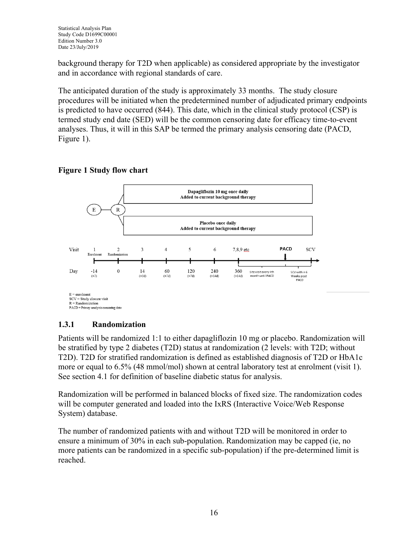background therapy for T2D when applicable) as considered appropriate by the investigator and in accordance with regional standards of care.

The anticipated duration of the study is approximately 33 months. The study closure procedures will be initiated when the predetermined number of adjudicated primary endpoints is predicted to have occurred (844). This date, which in the clinical study protocol (CSP) is termed study end date (SED) will be the common censoring date for efficacy time-to-event analyses. Thus, it will in this SAP be termed the primary analysis censoring date (PACD, [Figure 1\)](#page-15-0).

### <span id="page-15-0"></span>**Figure 1 Study flow chart**



## **1.3.1 Randomization**

Patients will be randomized 1:1 to either dapagliflozin 10 mg or placebo. Randomization will be stratified by type 2 diabetes (T2D) status at randomization (2 levels: with T2D; without T2D). T2D for stratified randomization is defined as established diagnosis of T2D or HbA1c more or equal to 6.5% (48 mmol/mol) shown at central laboratory test at enrolment (visit 1). See section [4.1](#page-21-0) for definition of baseline diabetic status for analysis.

Randomization will be performed in balanced blocks of fixed size. The randomization codes will be computer generated and loaded into the IxRS (Interactive Voice/Web Response System) database.

The number of randomized patients with and without T2D will be monitored in order to ensure a minimum of 30% in each sub-population. Randomization may be capped (ie, no more patients can be randomized in a specific sub-population) if the pre-determined limit is reached.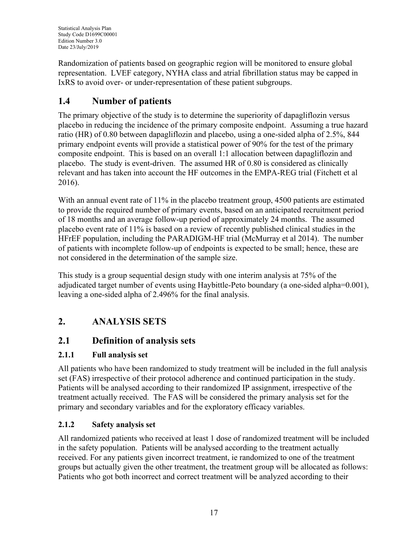Randomization of patients based on geographic region will be monitored to ensure global representation. LVEF category, NYHA class and atrial fibrillation status may be capped in IxRS to avoid over- or under-representation of these patient subgroups.

# **1.4 Number of patients**

The primary objective of the study is to determine the superiority of dapagliflozin versus placebo in reducing the incidence of the primary composite endpoint. Assuming a true hazard ratio (HR) of 0.80 between dapagliflozin and placebo, using a one-sided alpha of 2.5%, 844 primary endpoint events will provide a statistical power of 90% for the test of the primary composite endpoint. This is based on an overall 1:1 allocation between dapagliflozin and placebo. The study is event-driven. The assumed HR of 0.80 is considered as clinically relevant and has taken into account the HF outcomes in the EMPA-REG trial [\(Fitchett et al](#page-38-0)  [2016\)](#page-38-0).

With an annual event rate of 11% in the placebo treatment group, 4500 patients are estimated to provide the required number of primary events, based on an anticipated recruitment period of 18 months and an average follow-up period of approximately 24 months. The assumed placebo event rate of 11% is based on a review of recently published clinical studies in the HFrEF population, including the PARADIGM-HF trial [\(McMurray et al 2014\)](#page-39-0). The number of patients with incomplete follow-up of endpoints is expected to be small; hence, these are not considered in the determination of the sample size.

This study is a group sequential design study with one interim analysis at 75% of the adjudicated target number of events using Haybittle-Peto boundary (a one-sided alpha=0.001), leaving a one-sided alpha of 2.496% for the final analysis.

# **2. ANALYSIS SETS**

## **2.1 Definition of analysis sets**

## **2.1.1 Full analysis set**

All patients who have been randomized to study treatment will be included in the full analysis set (FAS) irrespective of their protocol adherence and continued participation in the study. Patients will be analysed according to their randomized IP assignment, irrespective of the treatment actually received. The FAS will be considered the primary analysis set for the primary and secondary variables and for the exploratory efficacy variables.

## <span id="page-16-0"></span>**2.1.2 Safety analysis set**

All randomized patients who received at least 1 dose of randomized treatment will be included in the safety population. Patients will be analysed according to the treatment actually received. For any patients given incorrect treatment, ie randomized to one of the treatment groups but actually given the other treatment, the treatment group will be allocated as follows: Patients who got both incorrect and correct treatment will be analyzed according to their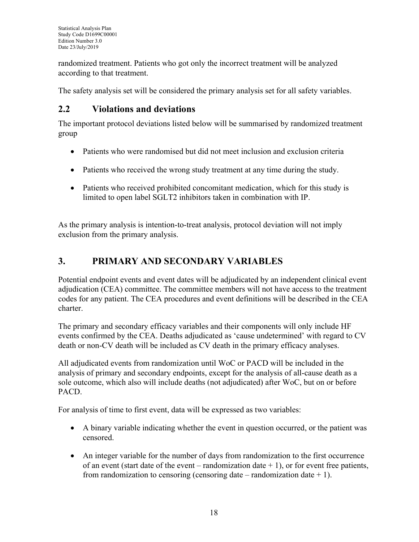randomized treatment. Patients who got only the incorrect treatment will be analyzed according to that treatment.

The safety analysis set will be considered the primary analysis set for all safety variables.

## **2.2 Violations and deviations**

The important protocol deviations listed below will be summarised by randomized treatment group

- Patients who were randomised but did not meet inclusion and exclusion criteria
- Patients who received the wrong study treatment at any time during the study.
- Patients who received prohibited concomitant medication, which for this study is limited to open label SGLT2 inhibitors taken in combination with IP.

As the primary analysis is intention-to-treat analysis, protocol deviation will not imply exclusion from the primary analysis.

# **3. PRIMARY AND SECONDARY VARIABLES**

Potential endpoint events and event dates will be adjudicated by an independent clinical event adjudication (CEA) committee. The committee members will not have access to the treatment codes for any patient. The CEA procedures and event definitions will be described in the CEA charter.

The primary and secondary efficacy variables and their components will only include HF events confirmed by the CEA. Deaths adjudicated as 'cause undetermined' with regard to CV death or non-CV death will be included as CV death in the primary efficacy analyses.

All adjudicated events from randomization until WoC or PACD will be included in the analysis of primary and secondary endpoints, except for the analysis of all-cause death as a sole outcome, which also will include deaths (not adjudicated) after WoC, but on or before PACD.

For analysis of time to first event, data will be expressed as two variables:

- A binary variable indicating whether the event in question occurred, or the patient was censored.
- An integer variable for the number of days from randomization to the first occurrence of an event (start date of the event – randomization date  $+1$ ), or for event free patients, from randomization to censoring (censoring date – randomization date  $+ 1$ ).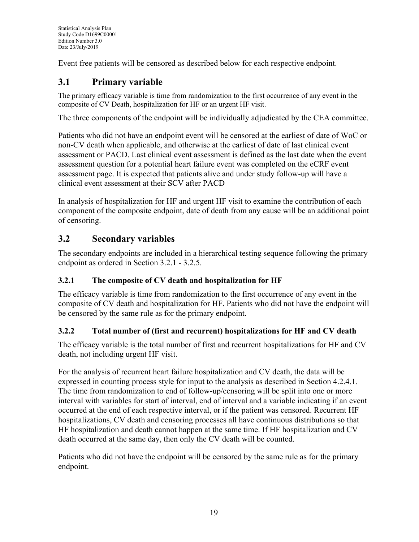Event free patients will be censored as described below for each respective endpoint.

# <span id="page-18-0"></span>**3.1 Primary variable**

The primary efficacy variable is time from randomization to the first occurrence of any event in the composite of CV Death, hospitalization for HF or an urgent HF visit.

The three components of the endpoint will be individually adjudicated by the CEA committee.

Patients who did not have an endpoint event will be censored at the earliest of date of WoC or non-CV death when applicable, and otherwise at the earliest of date of last clinical event assessment or PACD. Last clinical event assessment is defined as the last date when the event assessment question for a potential heart failure event was completed on the eCRF event assessment page. It is expected that patients alive and under study follow-up will have a clinical event assessment at their SCV after PACD

In analysis of hospitalization for HF and urgent HF visit to examine the contribution of each component of the composite endpoint, date of death from any cause will be an additional point of censoring.

## <span id="page-18-1"></span>**3.2 Secondary variables**

The secondary endpoints are included in a hierarchical testing sequence following the primary endpoint as ordered in Section [3.2.1](#page-18-2) - [3.2.5.](#page-20-0)

## <span id="page-18-2"></span>**3.2.1 The composite of CV death and hospitalization for HF**

The efficacy variable is time from randomization to the first occurrence of any event in the composite of CV death and hospitalization for HF. Patients who did not have the endpoint will be censored by the same rule as for the primary endpoint.

## **3.2.2 Total number of (first and recurrent) hospitalizations for HF and CV death**

The efficacy variable is the total number of first and recurrent hospitalizations for HF and CV death, not including urgent HF visit.

For the analysis of recurrent heart failure hospitalization and CV death, the data will be expressed in counting process style for input to the analysis as described in Section [4.2.4.1.](#page-27-0) The time from randomization to end of follow-up/censoring will be split into one or more interval with variables for start of interval, end of interval and a variable indicating if an event occurred at the end of each respective interval, or if the patient was censored. Recurrent HF hospitalizations, CV death and censoring processes all have continuous distributions so that HF hospitalization and death cannot happen at the same time. If HF hospitalization and CV death occurred at the same day, then only the CV death will be counted.

Patients who did not have the endpoint will be censored by the same rule as for the primary endpoint.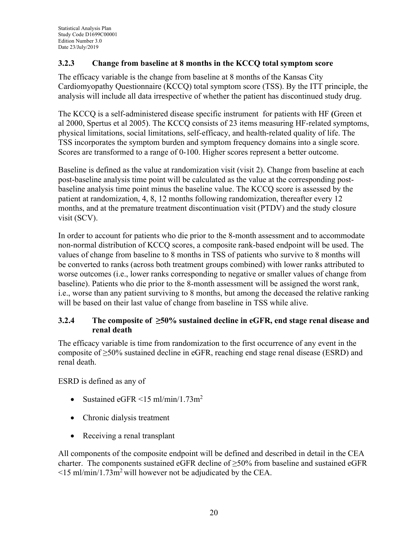### <span id="page-19-0"></span>**3.2.3 Change from baseline at 8 months in the KCCQ total symptom score**

The efficacy variable is the change from baseline at 8 months of the Kansas City Cardiomyopathy Questionnaire (KCCQ) total symptom score (TSS). By the ITT principle, the analysis will include all data irrespective of whether the patient has discontinued study drug.

The KCCQ is a self-administered disease specific instrument for patients with HF **(**[Green et](#page-38-1)  [al 2000,](#page-38-1) [Spertus et al 2005\)](#page-39-1). The KCCQ consists of 23 items measuring HF-related symptoms, physical limitations, social limitations, self-efficacy, and health-related quality of life. The TSS incorporates the symptom burden and symptom frequency domains into a single score. Scores are transformed to a range of 0-100. Higher scores represent a better outcome.

Baseline is defined as the value at randomization visit (visit 2). Change from baseline at each post-baseline analysis time point will be calculated as the value at the corresponding postbaseline analysis time point minus the baseline value. The KCCQ score is assessed by the patient at randomization, 4, 8, 12 months following randomization, thereafter every 12 months, and at the premature treatment discontinuation visit (PTDV) and the study closure visit (SCV).

In order to account for patients who die prior to the 8-month assessment and to accommodate non-normal distribution of KCCQ scores, a composite rank-based endpoint will be used. The values of change from baseline to 8 months in TSS of patients who survive to 8 months will be converted to ranks (across both treatment groups combined) with lower ranks attributed to worse outcomes (i.e., lower ranks corresponding to negative or smaller values of change from baseline). Patients who die prior to the 8-month assessment will be assigned the worst rank, i.e., worse than any patient surviving to 8 months, but among the deceased the relative ranking will be based on their last value of change from baseline in TSS while alive.

#### **3.2.4 The composite of ≥50% sustained decline in eGFR, end stage renal disease and renal death**

The efficacy variable is time from randomization to the first occurrence of any event in the composite of ≥50% sustained decline in eGFR, reaching end stage renal disease (ESRD) and renal death.

ESRD is defined as any of

- Sustained eGFR  $\leq$ 15 ml/min/1.73m<sup>2</sup>
- Chronic dialysis treatment
- Receiving a renal transplant

All components of the composite endpoint will be defined and described in detail in the CEA charter. The components sustained eGFR decline of  $\geq$ 50% from baseline and sustained eGFR  $\leq$ 15 ml/min/1.73m<sup>2</sup> will however not be adjudicated by the CEA.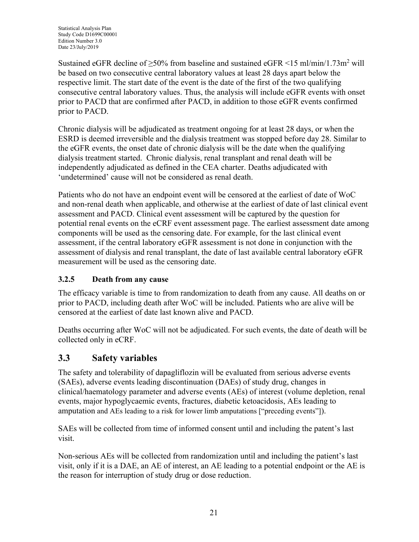Sustained eGFR decline of  $\geq 50\%$  from baseline and sustained eGFR <15 ml/min/1.73m<sup>2</sup> will be based on two consecutive central laboratory values at least 28 days apart below the respective limit. The start date of the event is the date of the first of the two qualifying consecutive central laboratory values. Thus, the analysis will include eGFR events with onset prior to PACD that are confirmed after PACD, in addition to those eGFR events confirmed prior to PACD.

Chronic dialysis will be adjudicated as treatment ongoing for at least 28 days, or when the ESRD is deemed irreversible and the dialysis treatment was stopped before day 28. Similar to the eGFR events, the onset date of chronic dialysis will be the date when the qualifying dialysis treatment started. Chronic dialysis, renal transplant and renal death will be independently adjudicated as defined in the CEA charter. Deaths adjudicated with 'undetermined' cause will not be considered as renal death.

Patients who do not have an endpoint event will be censored at the earliest of date of WoC and non-renal death when applicable, and otherwise at the earliest of date of last clinical event assessment and PACD. Clinical event assessment will be captured by the question for potential renal events on the eCRF event assessment page. The earliest assessment date among components will be used as the censoring date. For example, for the last clinical event assessment, if the central laboratory eGFR assessment is not done in conjunction with the assessment of dialysis and renal transplant, the date of last available central laboratory eGFR measurement will be used as the censoring date.

## <span id="page-20-0"></span>**3.2.5 Death from any cause**

The efficacy variable is time to from randomization to death from any cause. All deaths on or prior to PACD, including death after WoC will be included. Patients who are alive will be censored at the earliest of date last known alive and PACD.

Deaths occurring after WoC will not be adjudicated. For such events, the date of death will be collected only in eCRF.

## **3.3 Safety variables**

The safety and tolerability of dapagliflozin will be evaluated from serious adverse events (SAEs), adverse events leading discontinuation (DAEs) of study drug, changes in clinical/haematology parameter and adverse events (AEs) of interest (volume depletion, renal events, major hypoglycaemic events, fractures, diabetic ketoacidosis, AEs leading to amputation and AEs leading to a risk for lower limb amputations ["preceding events"]).

SAEs will be collected from time of informed consent until and including the patent's last visit.

Non-serious AEs will be collected from randomization until and including the patient's last visit, only if it is a DAE, an AE of interest, an AE leading to a potential endpoint or the AE is the reason for interruption of study drug or dose reduction.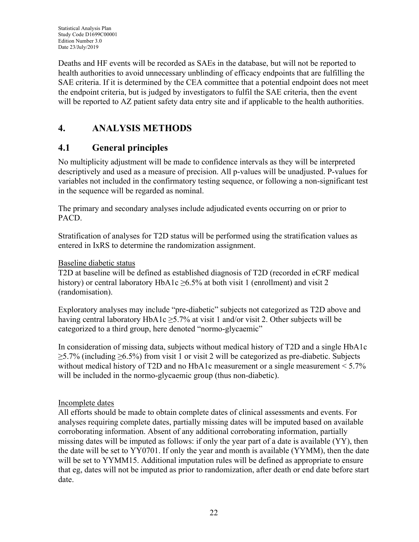Deaths and HF events will be recorded as SAEs in the database, but will not be reported to health authorities to avoid unnecessary unblinding of efficacy endpoints that are fulfilling the SAE criteria. If it is determined by the CEA committee that a potential endpoint does not meet the endpoint criteria, but is judged by investigators to fulfil the SAE criteria, then the event will be reported to AZ patient safety data entry site and if applicable to the health authorities.

# **4. ANALYSIS METHODS**

## <span id="page-21-0"></span>**4.1 General principles**

No multiplicity adjustment will be made to confidence intervals as they will be interpreted descriptively and used as a measure of precision. All p-values will be unadjusted. P-values for variables not included in the confirmatory testing sequence, or following a non-significant test in the sequence will be regarded as nominal.

The primary and secondary analyses include adjudicated events occurring on or prior to PACD.

Stratification of analyses for T2D status will be performed using the stratification values as entered in IxRS to determine the randomization assignment.

### Baseline diabetic status

T2D at baseline will be defined as established diagnosis of T2D (recorded in eCRF medical history) or central laboratory HbA1c >6.5% at both visit 1 (enrollment) and visit 2 (randomisation).

Exploratory analyses may include "pre-diabetic" subjects not categorized as T2D above and having central laboratory HbA1c ≥5.7% at visit 1 and/or visit 2. Other subjects will be categorized to a third group, here denoted "normo-glycaemic"

In consideration of missing data, subjects without medical history of T2D and a single HbA1c  $\geq$ 5.7% (including  $\geq$ 6.5%) from visit 1 or visit 2 will be categorized as pre-diabetic. Subjects without medical history of T2D and no HbA1c measurement or a single measurement  $\leq 5.7\%$ will be included in the normo-glycaemic group (thus non-diabetic).

## Incomplete dates

All efforts should be made to obtain complete dates of clinical assessments and events. For analyses requiring complete dates, partially missing dates will be imputed based on available corroborating information. Absent of any additional corroborating information, partially missing dates will be imputed as follows: if only the year part of a date is available (YY), then the date will be set to YY0701. If only the year and month is available (YYMM), then the date will be set to YYMM15. Additional imputation rules will be defined as appropriate to ensure that eg, dates will not be imputed as prior to randomization, after death or end date before start date.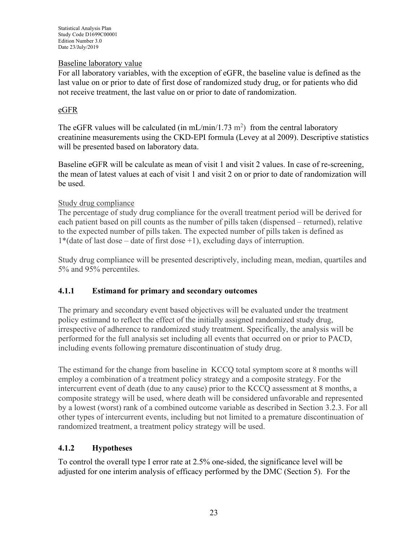#### Baseline laboratory value

For all laboratory variables, with the exception of eGFR, the baseline value is defined as the last value on or prior to date of first dose of randomized study drug, or for patients who did not receive treatment, the last value on or prior to date of randomization.

#### eGFR

The eGFR values will be calculated (in mL/min/1.73 m<sup>2</sup>) from the central laboratory creatinine measurements using the CKD-EPI formula [\(Levey at al 2009\)](#page-38-2). Descriptive statistics will be presented based on laboratory data.

Baseline eGFR will be calculate as mean of visit 1 and visit 2 values. In case of re-screening, the mean of latest values at each of visit 1 and visit 2 on or prior to date of randomization will be used.

#### Study drug compliance

The percentage of study drug compliance for the overall treatment period will be derived for each patient based on pill counts as the number of pills taken (dispensed – returned), relative to the expected number of pills taken. The expected number of pills taken is defined as 1\*(date of last dose – date of first dose +1), excluding days of interruption.

Study drug compliance will be presented descriptively, including mean, median, quartiles and 5% and 95% percentiles.

#### **4.1.1 Estimand for primary and secondary outcomes**

The primary and secondary event based objectives will be evaluated under the treatment policy estimand to reflect the effect of the initially assigned randomized study drug, irrespective of adherence to randomized study treatment. Specifically, the analysis will be performed for the full analysis set including all events that occurred on or prior to PACD, including events following premature discontinuation of study drug.

The estimand for the change from baseline in KCCQ total symptom score at 8 months will employ a combination of a treatment policy strategy and a composite strategy. For the intercurrent event of death (due to any cause) prior to the KCCQ assessment at 8 months, a composite strategy will be used, where death will be considered unfavorable and represented by a lowest (worst) rank of a combined outcome variable as described in Section [3.2.3.](#page-19-0) For all other types of intercurrent events, including but not limited to a premature discontinuation of randomized treatment, a treatment policy strategy will be used.

#### **4.1.2 Hypotheses**

To control the overall type I error rate at 2.5% one-sided, the significance level will be adjusted for one interim analysis of efficacy performed by the DMC (Section [5\)](#page-36-0). For the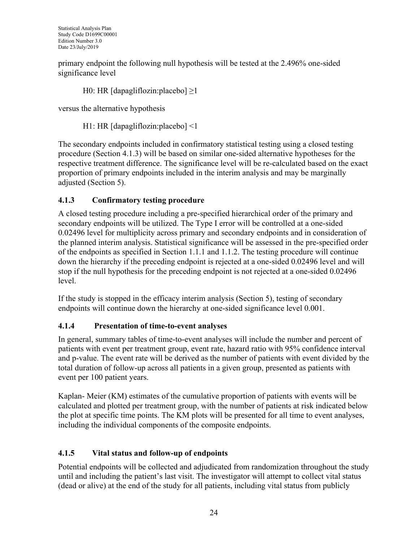primary endpoint the following null hypothesis will be tested at the 2.496% one-sided significance level

H0: HR  $\lceil \text{dapagliflozin:placebo} \rceil \ge 1$ 

versus the alternative hypothesis

H1: HR [dapagliflozin:placebo] <1

The secondary endpoints included in confirmatory statistical testing using a closed testing procedure (Section [4.1.3\)](#page-23-1) will be based on similar one-sided alternative hypotheses for the respective treatment difference. The significance level will be re-calculated based on the exact proportion of primary endpoints included in the interim analysis and may be marginally adjusted (Section [5\)](#page-36-0).

## <span id="page-23-1"></span>**4.1.3 Confirmatory testing procedure**

A closed testing procedure including a pre-specified hierarchical order of the primary and secondary endpoints will be utilized. The Type I error will be controlled at a one-sided 0.02496 level for multiplicity across primary and secondary endpoints and in consideration of the planned interim analysis. Statistical significance will be assessed in the pre-specified order of the endpoints as specified in Section [1.1.1](#page-10-0) and [1.1.2.](#page-10-1) The testing procedure will continue down the hierarchy if the preceding endpoint is rejected at a one-sided 0.02496 level and will stop if the null hypothesis for the preceding endpoint is not rejected at a one-sided 0.02496 level.

If the study is stopped in the efficacy interim analysis (Section [5\)](#page-36-0), testing of secondary endpoints will continue down the hierarchy at one-sided significance level 0.001.

## **4.1.4 Presentation of time-to-event analyses**

In general, summary tables of time-to-event analyses will include the number and percent of patients with event per treatment group, event rate, hazard ratio with 95% confidence interval and p-value. The event rate will be derived as the number of patients with event divided by the total duration of follow-up across all patients in a given group, presented as patients with event per 100 patient years.

Kaplan- Meier (KM) estimates of the cumulative proportion of patients with events will be calculated and plotted per treatment group, with the number of patients at risk indicated below the plot at specific time points. The KM plots will be presented for all time to event analyses, including the individual components of the composite endpoints.

## <span id="page-23-0"></span>**4.1.5 Vital status and follow-up of endpoints**

Potential endpoints will be collected and adjudicated from randomization throughout the study until and including the patient's last visit. The investigator will attempt to collect vital status (dead or alive) at the end of the study for all patients, including vital status from publicly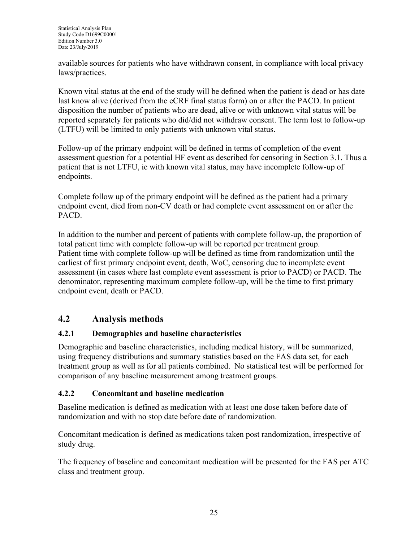available sources for patients who have withdrawn consent, in compliance with local privacy laws/practices.

Known vital status at the end of the study will be defined when the patient is dead or has date last know alive (derived from the eCRF final status form) on or after the PACD. In patient disposition the number of patients who are dead, alive or with unknown vital status will be reported separately for patients who did/did not withdraw consent. The term lost to follow-up (LTFU) will be limited to only patients with unknown vital status.

Follow-up of the primary endpoint will be defined in terms of completion of the event assessment question for a potential HF event as described for censoring in Section [3.1.](#page-18-0) Thus a patient that is not LTFU, ie with known vital status, may have incomplete follow-up of endpoints.

Complete follow up of the primary endpoint will be defined as the patient had a primary endpoint event, died from non-CV death or had complete event assessment on or after the PACD.

In addition to the number and percent of patients with complete follow-up, the proportion of total patient time with complete follow-up will be reported per treatment group. Patient time with complete follow-up will be defined as time from randomization until the earliest of first primary endpoint event, death, WoC, censoring due to incomplete event assessment (in cases where last complete event assessment is prior to PACD) or PACD. The denominator, representing maximum complete follow-up, will be the time to first primary endpoint event, death or PACD.

## **4.2 Analysis methods**

## **4.2.1 Demographics and baseline characteristics**

Demographic and baseline characteristics, including medical history, will be summarized, using frequency distributions and summary statistics based on the FAS data set, for each treatment group as well as for all patients combined. No statistical test will be performed for comparison of any baseline measurement among treatment groups.

## **4.2.2 Concomitant and baseline medication**

Baseline medication is defined as medication with at least one dose taken before date of randomization and with no stop date before date of randomization.

Concomitant medication is defined as medications taken post randomization, irrespective of study drug.

The frequency of baseline and concomitant medication will be presented for the FAS per ATC class and treatment group.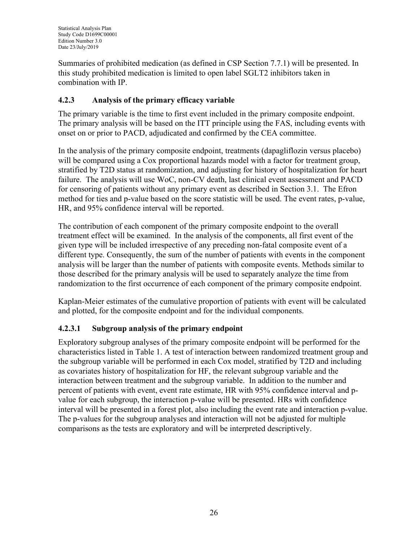Summaries of prohibited medication (as defined in CSP Section 7.7.1) will be presented. In this study prohibited medication is limited to open label SGLT2 inhibitors taken in combination with IP.

## **4.2.3 Analysis of the primary efficacy variable**

The primary variable is the time to first event included in the primary composite endpoint. The primary analysis will be based on the ITT principle using the FAS, including events with onset on or prior to PACD, adjudicated and confirmed by the CEA committee.

In the analysis of the primary composite endpoint, treatments (dapagliflozin versus placebo) will be compared using a Cox proportional hazards model with a factor for treatment group, stratified by T2D status at randomization, and adjusting for history of hospitalization for heart failure. The analysis will use WoC, non-CV death, last clinical event assessment and PACD for censoring of patients without any primary event as described in Section [3.1.](#page-18-0) The Efron method for ties and p-value based on the score statistic will be used. The event rates, p-value, HR, and 95% confidence interval will be reported.

The contribution of each component of the primary composite endpoint to the overall treatment effect will be examined. In the analysis of the components, all first event of the given type will be included irrespective of any preceding non-fatal composite event of a different type. Consequently, the sum of the number of patients with events in the component analysis will be larger than the number of patients with composite events. Methods similar to those described for the primary analysis will be used to separately analyze the time from randomization to the first occurrence of each component of the primary composite endpoint.

Kaplan-Meier estimates of the cumulative proportion of patients with event will be calculated and plotted, for the composite endpoint and for the individual components.

## **4.2.3.1 Subgroup analysis of the primary endpoint**

Exploratory subgroup analyses of the primary composite endpoint will be performed for the characteristics listed in [Table 1.](#page-26-0) A test of interaction between randomized treatment group and the subgroup variable will be performed in each Cox model, stratified by T2D and including as covariates history of hospitalization for HF, the relevant subgroup variable and the interaction between treatment and the subgroup variable. In addition to the number and percent of patients with event, event rate estimate, HR with 95% confidence interval and pvalue for each subgroup, the interaction p-value will be presented. HRs with confidence interval will be presented in a forest plot, also including the event rate and interaction p-value. The p-values for the subgroup analyses and interaction will not be adjusted for multiple comparisons as the tests are exploratory and will be interpreted descriptively.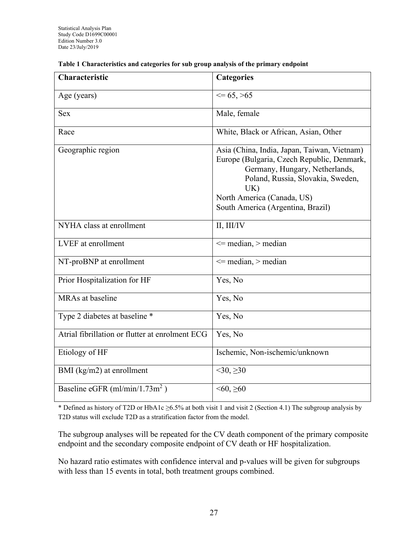| Characteristic                                  | <b>Categories</b>                                                                                                                                                                                                                          |
|-------------------------------------------------|--------------------------------------------------------------------------------------------------------------------------------------------------------------------------------------------------------------------------------------------|
| Age (years)                                     | $\leq$ = 65, >65                                                                                                                                                                                                                           |
| <b>Sex</b>                                      | Male, female                                                                                                                                                                                                                               |
| Race                                            | White, Black or African, Asian, Other                                                                                                                                                                                                      |
| Geographic region                               | Asia (China, India, Japan, Taiwan, Vietnam)<br>Europe (Bulgaria, Czech Republic, Denmark,<br>Germany, Hungary, Netherlands,<br>Poland, Russia, Slovakia, Sweden,<br>UK)<br>North America (Canada, US)<br>South America (Argentina, Brazil) |
| NYHA class at enrollment                        | II, III/IV                                                                                                                                                                                                                                 |
| LVEF at enrollment                              | $\le$ median, $>$ median                                                                                                                                                                                                                   |
| NT-proBNP at enrollment                         | $\le$ median, $>$ median                                                                                                                                                                                                                   |
| Prior Hospitalization for HF                    | Yes, No                                                                                                                                                                                                                                    |
| MRAs at baseline                                | Yes, No                                                                                                                                                                                                                                    |
| Type 2 diabetes at baseline *                   | Yes, No                                                                                                                                                                                                                                    |
| Atrial fibrillation or flutter at enrolment ECG | Yes, No                                                                                                                                                                                                                                    |
| Etiology of HF                                  | Ischemic, Non-ischemic/unknown                                                                                                                                                                                                             |
| BMI ( $\text{kg/m2}$ ) at enrollment            | $<$ 30, $\geq$ 30                                                                                                                                                                                                                          |
| Baseline eGFR (ml/min/1.73m <sup>2</sup> )      | $<60, \geq 60$                                                                                                                                                                                                                             |

#### <span id="page-26-0"></span>**Table 1 Characteristics and categories for sub group analysis of the primary endpoint**

\* Defined as history of T2D or HbA1c ≥6.5% at both visit 1 and visit 2 (Section [4.1\)](#page-21-0) The subgroup analysis by T2D status will exclude T2D as a stratification factor from the model.

The subgroup analyses will be repeated for the CV death component of the primary composite endpoint and the secondary composite endpoint of CV death or HF hospitalization.

No hazard ratio estimates with confidence interval and p-values will be given for subgroups with less than 15 events in total, both treatment groups combined.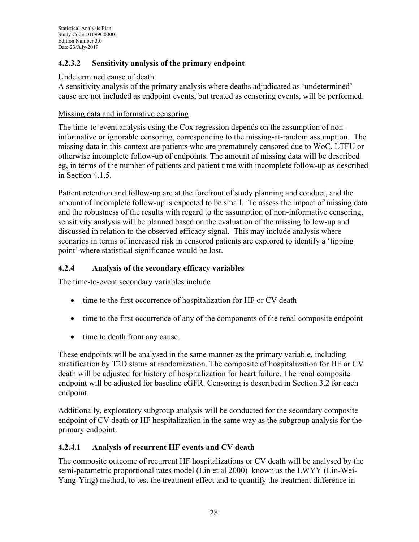## **4.2.3.2 Sensitivity analysis of the primary endpoint**

#### Undetermined cause of death

A sensitivity analysis of the primary analysis where deaths adjudicated as 'undetermined' cause are not included as endpoint events, but treated as censoring events, will be performed.

#### Missing data and informative censoring

The time-to-event analysis using the Cox regression depends on the assumption of noninformative or ignorable censoring, corresponding to the missing-at-random assumption. The missing data in this context are patients who are prematurely censored due to WoC, LTFU or otherwise incomplete follow-up of endpoints. The amount of missing data will be described eg, in terms of the number of patients and patient time with incomplete follow-up as described in Section [4.1.5.](#page-23-0)

Patient retention and follow-up are at the forefront of study planning and conduct, and the amount of incomplete follow-up is expected to be small. To assess the impact of missing data and the robustness of the results with regard to the assumption of non-informative censoring, sensitivity analysis will be planned based on the evaluation of the missing follow-up and discussed in relation to the observed efficacy signal. This may include analysis where scenarios in terms of increased risk in censored patients are explored to identify a 'tipping point' where statistical significance would be lost.

### **4.2.4 Analysis of the secondary efficacy variables**

The time-to-event secondary variables include

- time to the first occurrence of hospitalization for HF or CV death
- time to the first occurrence of any of the components of the renal composite endpoint
- time to death from any cause.

These endpoints will be analysed in the same manner as the primary variable, including stratification by T2D status at randomization. The composite of hospitalization for HF or CV death will be adjusted for history of hospitalization for heart failure. The renal composite endpoint will be adjusted for baseline eGFR. Censoring is described in Section [3.2](#page-18-1) for each endpoint.

Additionally, exploratory subgroup analysis will be conducted for the secondary composite endpoint of CV death or HF hospitalization in the same way as the subgroup analysis for the primary endpoint.

## <span id="page-27-0"></span>**4.2.4.1 Analysis of recurrent HF events and CV death**

The composite outcome of recurrent HF hospitalizations or CV death will be analysed by the semi-parametric proportional rates model [\(Lin et al 2000\)](#page-38-3) known as the LWYY (Lin-Wei-Yang-Ying) method, to test the treatment effect and to quantify the treatment difference in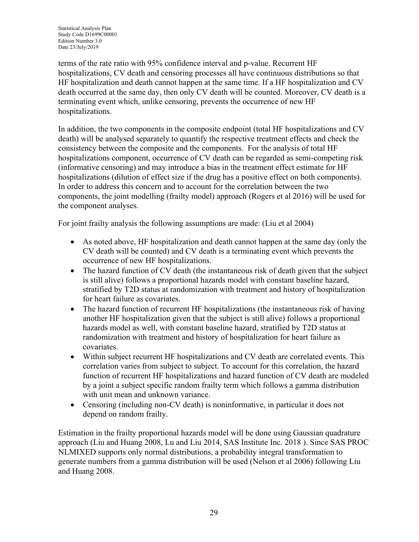terms of the rate ratio with 95% confidence interval and p-value. Recurrent HF hospitalizations, CV death and censoring processes all have continuous distributions so that HF hospitalization and death cannot happen at the same time. If a HF hospitalization and CV death occurred at the same day, then only CV death will be counted. Moreover, CV death is a terminating event which, unlike censoring, prevents the occurrence of new HF hospitalizations.

In addition, the two components in the composite endpoint (total HF hospitalizations and CV death) will be analysed separately to quantify the respective treatment effects and check the consistency between the composite and the components. For the analysis of total HF hospitalizations component, occurrence of CV death can be regarded as semi-competing risk (informative censoring) and may introduce a bias in the treatment effect estimate for HF hospitalizations (dilution of effect size if the drug has a positive effect on both components). In order to address this concern and to account for the correlation between the two components, the joint modelling (frailty model) approach [\(Rogers et al 2016\)](#page-39-2) will be used for the component analyses.

For joint frailty analysis the following assumptions are made: [\(Liu et al 2004\)](#page-38-4)

- As noted above, HF hospitalization and death cannot happen at the same day (only the CV death will be counted) and CV death is a terminating event which prevents the occurrence of new HF hospitalizations.
- The hazard function of CV death (the instantaneous risk of death given that the subject is still alive) follows a proportional hazards model with constant baseline hazard, stratified by T2D status at randomization with treatment and history of hospitalization for heart failure as covariates.
- The hazard function of recurrent HF hospitalizations (the instantaneous risk of having another HF hospitalization given that the subject is still alive) follows a proportional hazards model as well, with constant baseline hazard, stratified by T2D status at randomization with treatment and history of hospitalization for heart failure as covariates.
- Within subject recurrent HF hospitalizations and CV death are correlated events. This correlation varies from subject to subject. To account for this correlation, the hazard function of recurrent HF hospitalizations and hazard function of CV death are modeled by a joint a subject specific random frailty term which follows a gamma distribution with unit mean and unknown variance.
- Censoring (including non-CV death) is noninformative, in particular it does not depend on random frailty.

Estimation in the frailty proportional hazards model will be done using Gaussian quadrature approach [\(Liu and Huang](#page-39-3) 2008, [Lu and Liu 2014,](#page-39-4) [SAS Institute Inc. 2018](#page-39-5) ). Since SAS PROC NLMIXED supports only normal distributions, a probability integral transformation to generate numbers from a gamma distribution will be used [\(Nelson et al 2006\)](#page-39-6) following [Liu](#page-39-3)  [and Huang](#page-39-3) 2008.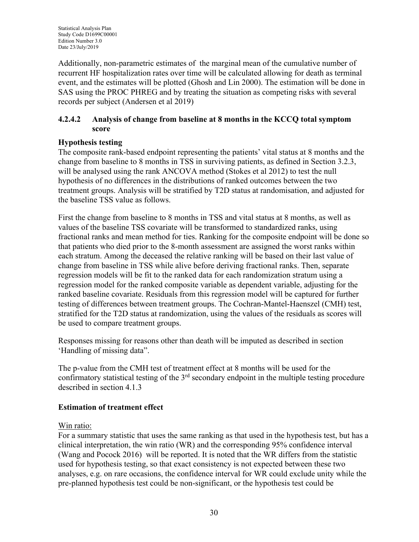Additionally, non-parametric estimates of the marginal mean of the cumulative number of recurrent HF hospitalization rates over time will be calculated allowing for death as terminal event, and the estimates will be plotted [\(Ghosh and Lin 2000\)](#page-38-5). The estimation will be done in SAS using the PROC PHREG and by treating the situation as competing risks with several records per subject [\(Andersen et al 2019\)](#page-37-0)

### <span id="page-29-0"></span>**4.2.4.2 Analysis of change from baseline at 8 months in the KCCQ total symptom score**

## **Hypothesis testing**

The composite rank-based endpoint representing the patients' vital status at 8 months and the change from baseline to 8 months in TSS in surviving patients, as defined in Section [3.2.3,](#page-19-0) will be analysed using the rank ANCOVA method [\(Stokes et al 2012\)](#page-39-7) to test the null hypothesis of no differences in the distributions of ranked outcomes between the two treatment groups. Analysis will be stratified by T2D status at randomisation, and adjusted for the baseline TSS value as follows.

First the change from baseline to 8 months in TSS and vital status at 8 months, as well as values of the baseline TSS covariate will be transformed to standardized ranks, using fractional ranks and mean method for ties. Ranking for the composite endpoint will be done so that patients who died prior to the 8-month assessment are assigned the worst ranks within each stratum. Among the deceased the relative ranking will be based on their last value of change from baseline in TSS while alive before deriving fractional ranks. Then, separate regression models will be fit to the ranked data for each randomization stratum using a regression model for the ranked composite variable as dependent variable, adjusting for the ranked baseline covariate. Residuals from this regression model will be captured for further testing of differences between treatment groups. The Cochran-Mantel-Haenszel (CMH) test, stratified for the T2D status at randomization, using the values of the residuals as scores will be used to compare treatment groups.

Responses missing for reasons other than death will be imputed as described in section 'Handling of missing data".

The p-value from the CMH test of treatment effect at 8 months will be used for the confirmatory statistical testing of the 3<sup>rd</sup> secondary endpoint in the multiple testing procedure described in section [4.1.3](#page-23-1)

## **Estimation of treatment effect**

## Win ratio:

For a summary statistic that uses the same ranking as that used in the hypothesis test, but has a clinical interpretation, the win ratio (WR) and the corresponding 95% confidence interval [\(Wang and Pocock 2016\)](#page-39-8) will be reported. It is noted that the WR differs from the statistic used for hypothesis testing, so that exact consistency is not expected between these two analyses, e.g. on rare occasions, the confidence interval for WR could exclude unity while the pre-planned hypothesis test could be non-significant, or the hypothesis test could be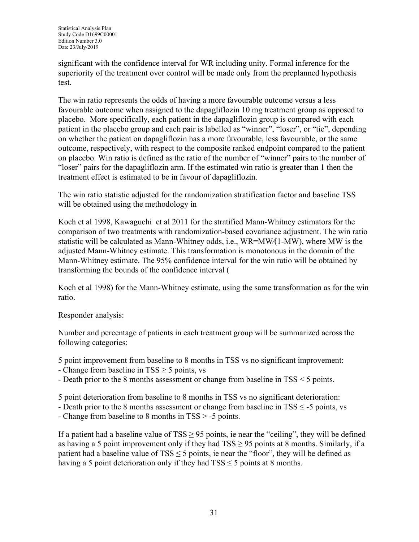significant with the confidence interval for WR including unity. Formal inference for the superiority of the treatment over control will be made only from the preplanned hypothesis test.

The win ratio represents the odds of having a more favourable outcome versus a less favourable outcome when assigned to the dapagliflozin 10 mg treatment group as opposed to placebo. More specifically, each patient in the dapagliflozin group is compared with each patient in the placebo group and each pair is labelled as "winner", "loser", or "tie", depending on whether the patient on dapagliflozin has a more favourable, less favourable, or the same outcome, respectively, with respect to the composite ranked endpoint compared to the patient on placebo. Win ratio is defined as the ratio of the number of "winner" pairs to the number of "loser" pairs for the dapagliflozin arm. If the estimated win ratio is greater than 1 then the treatment effect is estimated to be in favour of dapagliflozin.

The win ratio statistic adjusted for the ran[domization stratification factor and baseline TSS](#page-38-6)  will be obtained using the methodology in

[Koch et al 1998,](#page-38-6) [Kawaguchi et al 2011](#page-38-7) for the stratified Mann-Whitney estimators for the comparison of two treatments with randomization-based covariance adjustment. The win ratio statistic will be calculated as Mann-Whitney odds, i.e., WR=MW⁄(1-MW), where MW is the adjusted Mann-Whitney estimate. This transformation is monotonous in the domain of the Mann-Whitney estimate. The 95% confidence inter[val for the win ratio will be obtained by](#page-38-6)  transforming the bounds of the confidence interval (

[Koch et al 1998\)](#page-38-6) for the Mann-Whitney estimate, using the same transformation as for the win ratio.

#### Responder analysis:

Number and percentage of patients in each treatment group will be summarized across the following categories:

5 point improvement from baseline to 8 months in TSS vs no significant improvement:

- Change from baseline in  $TSS \geq 5$  points, vs
- Death prior to the 8 months assessment or change from baseline in TSS < 5 points.

5 point deterioration from baseline to 8 months in TSS vs no significant deterioration:

- Death prior to the 8 months assessment or change from baseline in  $TSS \leq -5$  points, vs
- Change from baseline to 8 months in TSS > -5 points.

If a patient had a baseline value of  $TSS \geq 95$  points, ie near the "ceiling", they will be defined as having a 5 point improvement only if they had  $TSS \ge 95$  points at 8 months. Similarly, if a patient had a baseline value of  $TSS \le 5$  points, ie near the "floor", they will be defined as having a 5 point deterioration only if they had  $TSS \le 5$  points at 8 months.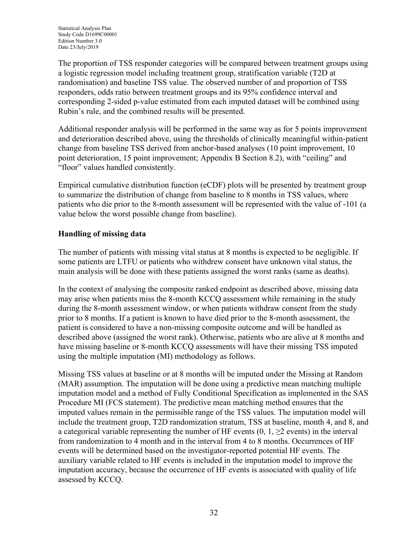The proportion of TSS responder categories will be compared between treatment groups using a logistic regression model including treatment group, stratification variable (T2D at randomisation) and baseline TSS value. The observed number of and proportion of TSS responders, odds ratio between treatment groups and its 95% confidence interval and corresponding 2-sided p-value estimated from each imputed dataset will be combined using Rubin's rule, and the combined results will be presented.

Additional responder analysis will be performed in the same way as for 5 points improvement and deterioration described above, using the thresholds of clinically meaningful within-patient change from baseline TSS derived from anchor-based analyses (10 point improvement, 10 point deterioration, 15 point improvement; Appendix B Section [8.2\)](#page-42-0), with "ceiling" and "floor" values handled consistently.

Empirical cumulative distribution function (eCDF) plots will be presented by treatment group to summarize the distribution of change from baseline to 8 months in TSS values, where patients who die prior to the 8-month assessment will be represented with the value of -101 (a value below the worst possible change from baseline).

### **Handling of missing data**

The number of patients with missing vital status at 8 months is expected to be negligible. If some patients are LTFU or patients who withdrew consent have unknown vital status, the main analysis will be done with these patients assigned the worst ranks (same as deaths).

In the context of analysing the composite ranked endpoint as described above, missing data may arise when patients miss the 8-month KCCQ assessment while remaining in the study during the 8-month assessment window, or when patients withdraw consent from the study prior to 8 months. If a patient is known to have died prior to the 8-month assessment, the patient is considered to have a non-missing composite outcome and will be handled as described above (assigned the worst rank). Otherwise, patients who are alive at 8 months and have missing baseline or 8-month KCCQ assessments will have their missing TSS imputed using the multiple imputation (MI) methodology as follows.

Missing TSS values at baseline or at 8 months will be imputed under the Missing at Random (MAR) assumption. The imputation will be done using a predictive mean matching multiple imputation model and a method of Fully Conditional Specification as implemented in the SAS Procedure MI (FCS statement). The predictive mean matching method ensures that the imputed values remain in the permissible range of the TSS values. The imputation model will include the treatment group, T2D randomization stratum, TSS at baseline, month 4, and 8, and a categorical variable representing the number of HF events  $(0, 1, \geq 2)$  events) in the interval from randomization to 4 month and in the interval from 4 to 8 months. Occurrences of HF events will be determined based on the investigator-reported potential HF events. The auxiliary variable related to HF events is included in the imputation model to improve the imputation accuracy, because the occurrence of HF events is associated with quality of life assessed by KCCQ.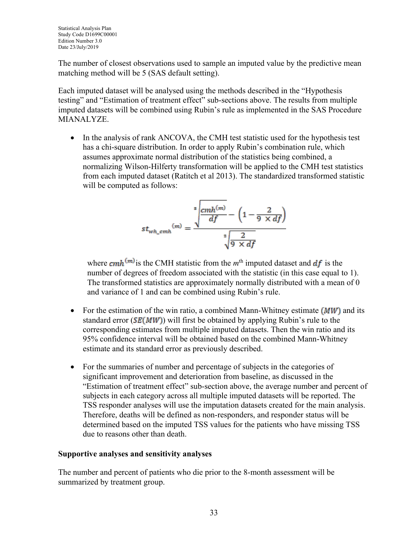The number of closest observations used to sample an imputed value by the predictive mean matching method will be 5 (SAS default setting).

Each imputed dataset will be analysed using the methods described in the "Hypothesis testing" and "Estimation of treatment effect" sub-sections above. The results from multiple imputed datasets will be combined using Rubin's rule as implemented in the SAS Procedure **MIANALYZE** 

In the analysis of rank ANCOVA, the CMH test statistic used for the hypothesis test has a chi-square distribution. In order to apply Rubin's combination rule, which assumes approximate normal distribution of the statistics being combined, a normalizing Wilson-Hilferty transformation will be applied to the CMH test statistics from each imputed dataset [\(Ratitch et al 2013\)](#page-39-9). The standardized transformed statistic will be computed as follows:

$$
st_{wh\_cmh}(m) = \frac{\sqrt[3]{\frac{cmh^{(m)}}{df} - \left(1 - \frac{2}{9 \times df}\right)}}{\sqrt[2]{\frac{2}{9 \times df}}}
$$

where  $cmh<sup>(m)</sup>$  is the CMH statistic from the  $m<sup>th</sup>$  imputed dataset and  $df$  is the number of degrees of freedom associated with the statistic (in this case equal to 1). The transformed statistics are approximately normally distributed with a mean of 0 and variance of 1 and can be combined using Rubin's rule.

- For the estimation of the win ratio, a combined Mann-Whitney estimate  $(MW)$  and its standard error ( $SE(MW)$ ) will first be obtained by applying Rubin's rule to the corresponding estimates from multiple imputed datasets. Then the win ratio and its 95% confidence interval will be obtained based on the combined Mann-Whitney estimate and its standard error as previously described.
- For the summaries of number and percentage of subjects in the categories of significant improvement and deterioration from baseline, as discussed in the "Estimation of treatment effect" sub-section above, the average number and percent of subjects in each category across all multiple imputed datasets will be reported. The TSS responder analyses will use the imputation datasets created for the main analysis. Therefore, deaths will be defined as non-responders, and responder status will be determined based on the imputed TSS values for the patients who have missing TSS due to reasons other than death.

#### **Supportive analyses and sensitivity analyses**

The number and percent of patients who die prior to the 8-month assessment will be summarized by treatment group.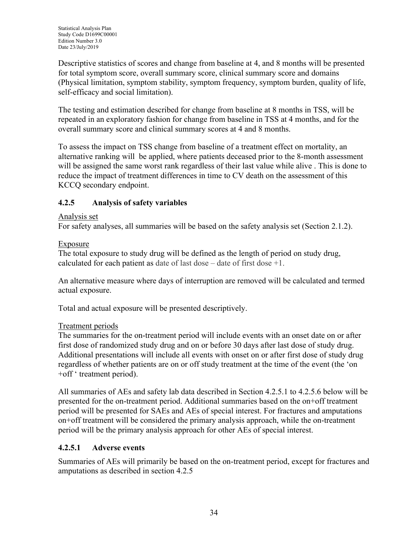Descriptive statistics of scores and change from baseline at 4, and 8 months will be presented for total symptom score, overall summary score, clinical summary score and domains (Physical limitation, symptom stability, symptom frequency, symptom burden, quality of life, self-efficacy and social limitation).

The testing and estimation described for change from baseline at 8 months in TSS, will be repeated in an exploratory fashion for change from baseline in TSS at 4 months, and for the overall summary score and clinical summary scores at 4 and 8 months.

To assess the impact on TSS change from baseline of a treatment effect on mortality, an alternative ranking will be applied, where patients deceased prior to the 8-month assessment will be assigned the same worst rank regardless of their last value while alive . This is done to reduce the impact of treatment differences in time to CV death on the assessment of this KCCQ secondary endpoint.

## <span id="page-33-1"></span>**4.2.5 Analysis of safety variables**

#### Analysis set

For safety analyses, all summaries will be based on the safety analysis set (Section [2.1.2\)](#page-16-0).

### Exposure

The total exposure to study drug will be defined as the length of period on study drug, calculated for each patient as date of last dose – date of first dose +1.

An alternative measure where days of interruption are removed will be calculated and termed actual exposure.

Total and actual exposure will be presented descriptively.

## Treatment periods

The summaries for the on-treatment period will include events with an onset date on or after first dose of randomized study drug and on or before 30 days after last dose of study drug. Additional presentations will include all events with onset on or after first dose of study drug regardless of whether patients are on or off study treatment at the time of the event (the 'on +off ' treatment period).

All summaries of AEs and safety lab data described in Section [4.2.5.1](#page-33-0) to [4.2.5.6](#page-35-0) below will be presented for the on-treatment period. Additional summaries based on the on+off treatment period will be presented for SAEs and AEs of special interest. For fractures and amputations on+off treatment will be considered the primary analysis approach, while the on-treatment period will be the primary analysis approach for other AEs of special interest.

## <span id="page-33-0"></span>**4.2.5.1 Adverse events**

Summaries of AEs will primarily be based on the on-treatment period, except for fractures and amputations as described in section [4.2.5](#page-33-1)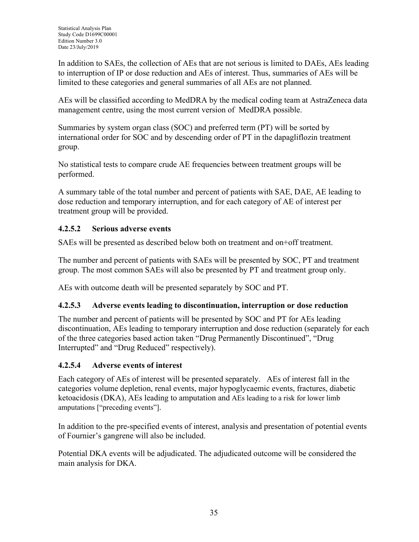In addition to SAEs, the collection of AEs that are not serious is limited to DAEs, AEs leading to interruption of IP or dose reduction and AEs of interest. Thus, summaries of AEs will be limited to these categories and general summaries of all AEs are not planned.

AEs will be classified according to MedDRA by the medical coding team at AstraZeneca data management centre, using the most current version of MedDRA possible.

Summaries by system organ class (SOC) and preferred term (PT) will be sorted by international order for SOC and by descending order of PT in the dapagliflozin treatment group.

No statistical tests to compare crude AE frequencies between treatment groups will be performed.

A summary table of the total number and percent of patients with SAE, DAE, AE leading to dose reduction and temporary interruption, and for each category of AE of interest per treatment group will be provided.

## **4.2.5.2 Serious adverse events**

SAEs will be presented as described below both on treatment and on+off treatment.

The number and percent of patients with SAEs will be presented by SOC, PT and treatment group. The most common SAEs will also be presented by PT and treatment group only.

AEs with outcome death will be presented separately by SOC and PT.

#### **4.2.5.3 Adverse events leading to discontinuation, interruption or dose reduction**

The number and percent of patients will be presented by SOC and PT for AEs leading discontinuation, AEs leading to temporary interruption and dose reduction (separately for each of the three categories based action taken "Drug Permanently Discontinued", "Drug Interrupted" and "Drug Reduced" respectively).

#### **4.2.5.4 Adverse events of interest**

Each category of AEs of interest will be presented separately. AEs of interest fall in the categories volume depletion, renal events, major hypoglycaemic events, fractures, diabetic ketoacidosis (DKA), AEs leading to amputation and AEs leading to a risk for lower limb amputations ["preceding events"].

In addition to the pre-specified events of interest, analysis and presentation of potential events of Fournier's gangrene will also be included.

Potential DKA events will be adjudicated. The adjudicated outcome will be considered the main analysis for DKA.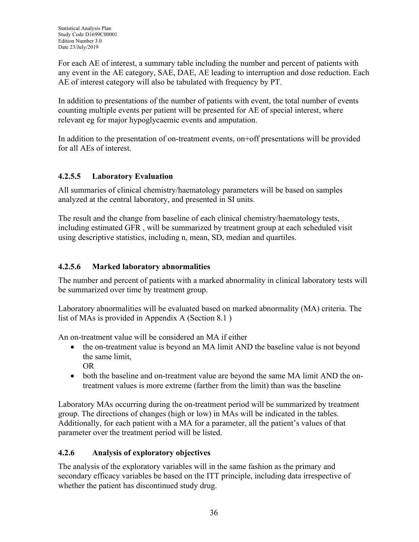For each AE of interest, a summary table including the number and percent of patients with any event in the AE category, SAE, DAE, AE leading to interruption and dose reduction. Each AE of interest category will also be tabulated with frequency by PT.

In addition to presentations of the number of patients with event, the total number of events counting multiple events per patient will be presented for AE of special interest, where relevant eg for major hypoglycaemic events and amputation.

In addition to the presentation of on-treatment events, on+off presentations will be provided for all AEs of interest.

## **4.2.5.5 Laboratory Evaluation**

All summaries of clinical chemistry/haematology parameters will be based on samples analyzed at the central laboratory, and presented in SI units.

The result and the change from baseline of each clinical chemistry/haematology tests, including estimated GFR , will be summarized by treatment group at each scheduled visit using descriptive statistics, including n, mean, SD, median and quartiles.

## <span id="page-35-0"></span>**4.2.5.6 Marked laboratory abnormalities**

The number and percent of patients with a marked abnormality in clinical laboratory tests will be summarized over time by treatment group.

Laboratory abnormalities will be evaluated based on marked abnormality (MA) criteria. The list of MAs is provided in Appendix A (Section [8.1](#page-40-0) )

An on-treatment value will be considered an MA if either

- the on-treatment value is beyond an MA limit AND the baseline value is not beyond the same limit, OR
- both the baseline and on-treatment value are beyond the same MA limit AND the ontreatment values is more extreme (farther from the limit) than was the baseline

Laboratory MAs occurring during the on-treatment period will be summarized by treatment group. The directions of changes (high or low) in MAs will be indicated in the tables. Additionally, for each patient with a MA for a parameter, all the patient's values of that parameter over the treatment period will be listed.

## **4.2.6 Analysis of exploratory objectives**

The analysis of the exploratory variables will in the same fashion as the primary and secondary efficacy variables be based on the ITT principle, including data irrespective of whether the patient has discontinued study drug.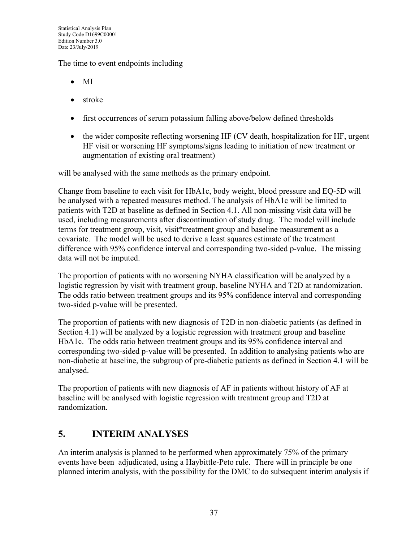The time to event endpoints including

- MI
- stroke
- first occurrences of serum potassium falling above/below defined thresholds
- the wider composite reflecting worsening HF (CV death, hospitalization for HF, urgent HF visit or worsening HF symptoms/signs leading to initiation of new treatment or augmentation of existing oral treatment)

will be analysed with the same methods as the primary endpoint.

Change from baseline to each visit for HbA1c, body weight, blood pressure and EQ-5D will be analysed with a repeated measures method. The analysis of HbA1c will be limited to patients with T2D at baseline as defined in Section [4.1.](#page-21-0) All non-missing visit data will be used, including measurements after discontinuation of study drug. The model will include terms for treatment group, visit, visit\*treatment group and baseline measurement as a covariate. The model will be used to derive a least squares estimate of the treatment difference with 95% confidence interval and corresponding two-sided p-value. The missing data will not be imputed.

The proportion of patients with no worsening NYHA classification will be analyzed by a logistic regression by visit with treatment group, baseline NYHA and T2D at randomization. The odds ratio between treatment groups and its 95% confidence interval and corresponding two-sided p-value will be presented.

The proportion of patients with new diagnosis of T2D in non-diabetic patients (as defined in Section [4.1\)](#page-21-0) will be analyzed by a logistic regression with treatment group and baseline HbA1c. The odds ratio between treatment groups and its 95% confidence interval and corresponding two-sided p-value will be presented. In addition to analysing patients who are non-diabetic at baseline, the subgroup of pre-diabetic patients as defined in Section [4.1](#page-21-0) will be analysed.

The proportion of patients with new diagnosis of AF in patients without history of AF at baseline will be analysed with logistic regression with treatment group and T2D at randomization.

## <span id="page-36-0"></span>**5. INTERIM ANALYSES**

An interim analysis is planned to be performed when approximately 75% of the primary events have been adjudicated, using a Haybittle-Peto rule. There will in principle be one planned interim analysis, with the possibility for the DMC to do subsequent interim analysis if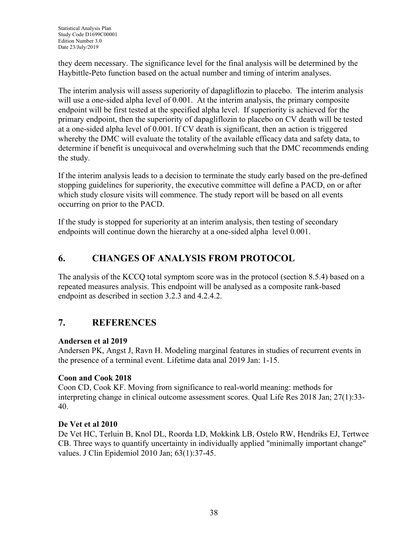they deem necessary. The significance level for the final analysis will be determined by the Haybittle-Peto function based on the actual number and timing of interim analyses.

The interim analysis will assess superiority of dapagliflozin to placebo. The interim analysis will use a one-sided alpha level of 0.001. At the interim analysis, the primary composite endpoint will be first tested at the specified alpha level. If superiority is achieved for the primary endpoint, then the superiority of dapagliflozin to placebo on CV death will be tested at a one-sided alpha level of 0.001. If CV death is significant, then an action is triggered whereby the DMC will evaluate the totality of the available efficacy data and safety data, to determine if benefit is unequivocal and overwhelming such that the DMC recommends ending the study.

If the interim analysis leads to a decision to terminate the study early based on the pre-defined stopping guidelines for superiority, the executive committee will define a PACD, on or after which study closure visits will commence. The study report will be based on all events occurring on prior to the PACD.

If the study is stopped for superiority at an interim analysis, then testing of secondary endpoints will continue down the hierarchy at a one-sided alpha level 0.001.

## **6. CHANGES OF ANALYSIS FROM PROTOCOL**

The analysis of the KCCQ total symptom score was in the protocol (section 8.5.4) based on a repeated measures analysis. This endpoint will be analysed as a composite rank-based endpoint as described in section [3.2.3](#page-19-0) and [4.2.4.2.](#page-29-0)

## **7. REFERENCES**

## <span id="page-37-0"></span>**Andersen et al 2019**

Andersen PK, Angst J, Ravn H. Modeling marginal features in studies of recurrent events in the presence of a terminal event. Lifetime data anal 2019 Jan: 1-15.

## <span id="page-37-1"></span>**Coon and Cook 2018**

Coon CD, Cook KF. Moving from significance to real-world meaning: methods for interpreting change in clinical outcome assessment scores. Qual Life Res 2018 Jan; 27(1):33- 40.

#### <span id="page-37-2"></span>**De Vet et al 2010**

De Vet HC, Terluin B, Knol DL, Roorda LD, Mokkink LB, Ostelo RW, Hendriks EJ, Tertwee CB. Three ways to quantify uncertainty in individually applied "minimally important change" values. J Clin Epidemiol 2010 Jan; 63(1):37-45.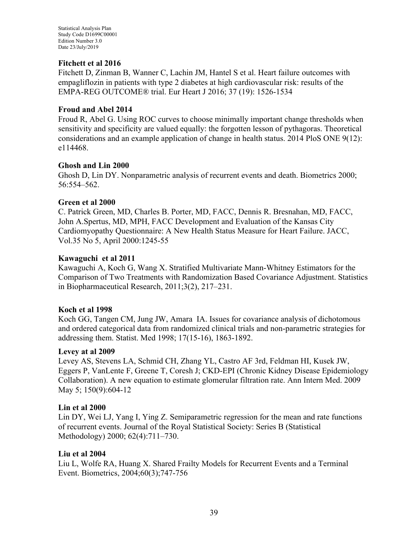#### <span id="page-38-0"></span>**Fitchett et al 2016**

Fitchett D, Zinman B, Wanner C, Lachin JM, Hantel S et al. Heart failure outcomes with empagliflozin in patients with type 2 diabetes at high cardiovascular risk: results of the EMPA-REG OUTCOME® trial. Eur Heart J 2016; 37 (19): 1526-1534

#### <span id="page-38-8"></span>**Froud and Abel 2014**

Froud R, Abel G. Using ROC curves to choose minimally important change thresholds when sensitivity and specificity are valued equally: the forgotten lesson of pythagoras. Theoretical considerations and an example application of change in health status. 2014 PloS ONE 9(12): e114468.

#### <span id="page-38-5"></span>**Ghosh and Lin 2000**

Ghosh D, Lin DY. Nonparametric analysis of recurrent events and death. Biometrics 2000; 56:554–562.

#### <span id="page-38-1"></span>**Green et al 2000**

C. Patrick Green, MD, Charles B. Porter, MD, FACC, Dennis R. Bresnahan, MD, FACC, John A.Spertus, MD, MPH, FACC Development and Evaluation of the Kansas City Cardiomyopathy Questionnaire: A New Health Status Measure for Heart Failure. JACC, Vol.35 No 5, April 2000:1245-55

#### <span id="page-38-7"></span>**Kawaguchi et al 2011**

Kawaguchi A, Koch G, Wang X. Stratified Multivariate Mann-Whitney Estimators for the Comparison of Two Treatments with Randomization Based Covariance Adjustment. Statistics in Biopharmaceutical Research, 2011;3(2), 217–231.

#### <span id="page-38-6"></span>**Koch et al 1998**

Koch GG, Tangen CM, Jung JW, Amara IA. Issues for covariance analysis of dichotomous and ordered categorical data from randomized clinical trials and non‐parametric strategies for addressing them. Statist. Med 1998; 17(15‐16), 1863-1892.

#### <span id="page-38-2"></span>**Levey at al 2009**

Levey AS, Stevens LA, Schmid CH, Zhang YL, Castro AF 3rd, Feldman HI, Kusek JW, Eggers P, VanLente F, Greene T, Coresh J; CKD-EPI (Chronic Kidney Disease Epidemiology Collaboration). A new equation to estimate glomerular filtration rate. Ann Intern Med. 2009 May 5; 150(9):604-12

#### <span id="page-38-3"></span>**Lin et al 2000**

Lin DY, Wei LJ, Yang I, Ying Z. Semiparametric regression for the mean and rate functions of recurrent events. Journal of the Royal Statistical Society: Series B (Statistical Methodology) 2000; 62(4):711–730.

#### <span id="page-38-4"></span>**Liu et al 2004**

Liu L, Wolfe RA, Huang X. Shared Frailty Models for Recurrent Events and a Terminal Event. Biometrics, 2004;60(3);747-756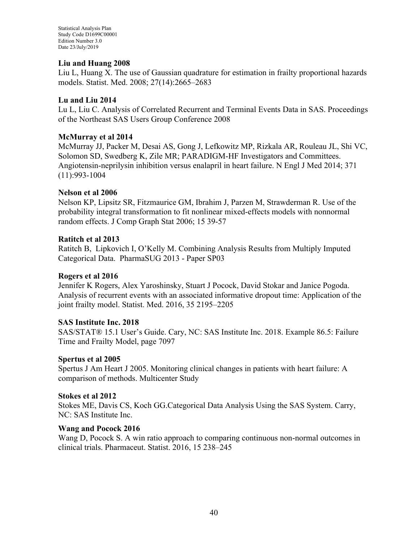Statistical Analysis Plan Study Code D1699C00001 Edition Number 3.0 Date 23/July/2019

#### <span id="page-39-3"></span>**Liu and Huang 2008**

Liu L, Huang X. The use of Gaussian quadrature for estimation in frailty proportional hazards models. Statist. Med. 2008; 27(14):2665–2683

#### <span id="page-39-4"></span>**Lu and Liu 2014**

Lu L, Liu C. Analysis of Correlated Recurrent and Terminal Events Data in SAS. Proceedings of the Northeast SAS Users Group Conference 2008

#### <span id="page-39-0"></span>**McMurray et al 2014**

McMurray JJ, Packer M, Desai AS, Gong J, Lefkowitz MP, Rizkala AR, Rouleau JL, Shi VC, Solomon SD, Swedberg K, Zile MR; PARADIGM-HF Investigators and Committees. Angiotensin-neprilysin inhibition versus enalapril in heart failure. N Engl J Med 2014; 371 (11):993-1004

#### <span id="page-39-6"></span>**Nelson et al 2006**

Nelson KP, Lipsitz SR, Fitzmaurice GM, Ibrahim J, Parzen M, Strawderman R. Use of the probability integral transformation to fit nonlinear mixed-effects models with nonnormal random effects. J Comp Graph Stat 2006; 15 39-57

#### <span id="page-39-9"></span>**Ratitch et al 2013**

Ratitch B, Lipkovich I, O'Kelly M. Combining Analysis Results from Multiply Imputed Categorical Data. PharmaSUG 2013 - Paper SP03

#### <span id="page-39-2"></span>**Rogers et al 2016**

Jennifer K Rogers, Alex Yaroshinsky, Stuart J Pocock, David Stokar and Janice Pogoda. Analysis of recurrent events with an associated informative dropout time: Application of the joint frailty model. Statist. Med. 2016, 35 2195–2205

#### <span id="page-39-5"></span>**SAS Institute Inc. 2018**

SAS/STAT® 15.1 User's Guide. Cary, NC: SAS Institute Inc. 2018. Example 86.5: Failure Time and Frailty Model, page 7097

#### <span id="page-39-1"></span>**Spertus et al 2005**

Spertus J Am Heart J 2005. Monitoring clinical changes in patients with heart failure: A comparison of methods. Multicenter Study

#### <span id="page-39-7"></span>**Stokes et al 2012**

Stokes ME, Davis CS, Koch GG.Categorical Data Analysis Using the SAS System. Carry, NC: SAS Institute Inc.

#### <span id="page-39-8"></span>**Wang and Pocock 2016**

Wang D, Pocock S. A win ratio approach to comparing continuous non-normal outcomes in clinical trials. Pharmaceut. Statist. 2016, 15 238–245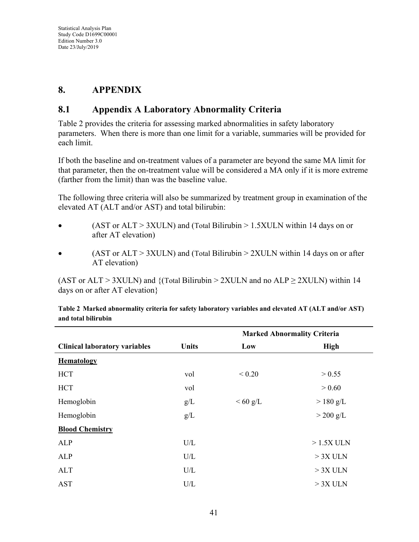## **8. APPENDIX**

## <span id="page-40-0"></span>**8.1 Appendix A Laboratory Abnormality Criteria**

[Table 2](#page-40-1) provides the criteria for assessing marked abnormalities in safety laboratory parameters. When there is more than one limit for a variable, summaries will be provided for each limit.

If both the baseline and on-treatment values of a parameter are beyond the same MA limit for that parameter, then the on-treatment value will be considered a MA only if it is more extreme (farther from the limit) than was the baseline value.

The following three criteria will also be summarized by treatment group in examination of the elevated AT (ALT and/or AST) and total bilirubin:

- (AST or  $ALT > 3XULN$ ) and (Total Bilirubin  $> 1.5XULN$  within 14 days on or after AT elevation)
- $(AST or ALT > 3XULN)$  and  $(Total Bilirubin > 2XULN within 14 days on or after)$ AT elevation)

(AST or ALT > 3XULN) and {(Total Bilirubin > 2XULN and no ALP  $\geq$  2XULN) within 14 days on or after AT elevation}

|                                      |                                                          |            | <b>Marked Abnormality Criteria</b> |
|--------------------------------------|----------------------------------------------------------|------------|------------------------------------|
| <b>Clinical laboratory variables</b> | <b>Units</b>                                             | Low        | <b>High</b>                        |
| <b>Hematology</b>                    |                                                          |            |                                    |
| <b>HCT</b>                           | vol                                                      | ${}< 0.20$ | > 0.55                             |
| <b>HCT</b>                           | vol                                                      |            | > 0.60                             |
| Hemoglobin                           | g/L                                                      | $<60$ g/L  | $>$ 180 g/L                        |
| Hemoglobin                           | g/L                                                      |            | $>$ 200 g/L                        |
| <b>Blood Chemistry</b>               |                                                          |            |                                    |
| ALP                                  | U/L                                                      |            | $>1.5X$ ULN                        |
| ALP                                  | $\ensuremath{\mathrm{U}}\xspace/\ensuremath{\mathrm{L}}$ |            | $> 3X$ ULN                         |
| <b>ALT</b>                           | U/L                                                      |            | $> 3X$ ULN                         |
| <b>AST</b>                           | U/L                                                      |            | $> 3X$ ULN                         |

<span id="page-40-1"></span>

| Table 2 Marked abnormality criteria for safety laboratory variables and elevated AT (ALT and/or AST) |  |
|------------------------------------------------------------------------------------------------------|--|
| and total bilirubin                                                                                  |  |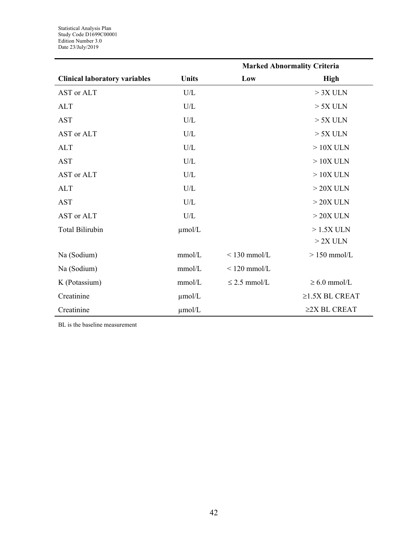|                                      |              |                   | <b>Marked Abnormality Criteria</b> |
|--------------------------------------|--------------|-------------------|------------------------------------|
| <b>Clinical laboratory variables</b> | <b>Units</b> | Low               | <b>High</b>                        |
| AST or ALT                           | U/L          |                   | $> 3X$ ULN                         |
| <b>ALT</b>                           | U/L          |                   | $> 5X$ ULN                         |
| <b>AST</b>                           | U/L          |                   | $> 5X$ ULN                         |
| AST or ALT                           | U/L          |                   | $> 5X$ ULN                         |
| <b>ALT</b>                           | U/L          |                   | $>10X$ ULN                         |
| <b>AST</b>                           | U/L          |                   | $>10X$ ULN                         |
| AST or ALT                           | U/L          |                   | $>10X$ ULN                         |
| <b>ALT</b>                           | U/L          |                   | $>20X$ ULN                         |
| <b>AST</b>                           | U/L          |                   | $>20X$ ULN                         |
| AST or ALT                           | U/L          |                   | $>20X$ ULN                         |
| <b>Total Bilirubin</b>               | $\mu$ mol/L  |                   | $>1.5X$ ULN                        |
|                                      |              |                   | $>2X$ ULN                          |
| Na (Sodium)                          | mmol/L       | $<$ 130 mmol/L    | $> 150$ mmol/L                     |
| Na (Sodium)                          | mmol/L       | $<$ 120 mmol/L    |                                    |
| K (Potassium)                        | mmol/L       | $\leq$ 2.5 mmol/L | $\geq 6.0$ mmol/L                  |
| Creatinine                           | $\mu$ mol/L  |                   | $\geq$ 1.5X BL CREAT               |
| Creatinine                           | µmol/L       |                   | $\geq$ 2X BL CREAT                 |

BL is the baseline measurement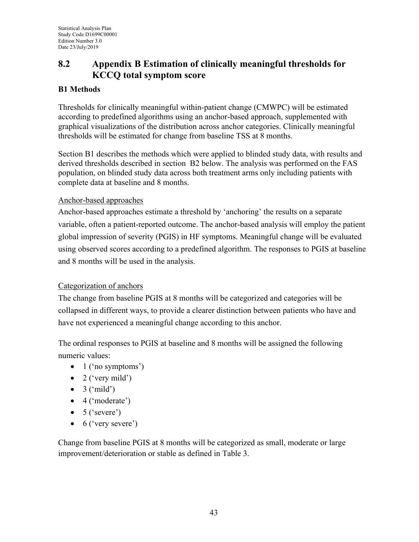## <span id="page-42-0"></span>**8.2 Appendix B Estimation of clinically meaningful thresholds for KCCQ total symptom score**

## **B1 Methods**

Thresholds for clinically meaningful within-patient change (CMWPC) will be estimated according to predefined algorithms using an anchor-based approach, supplemented with graphical visualizations of the distribution across anchor categories. Clinically meaningful thresholds will be estimated for change from baseline TSS at 8 months.

Section B1 describes the methods which were applied to blinded study data, with results and derived thresholds described in section B2 below. The analysis was performed on the FAS population, on blinded study data across both treatment arms only including patients with complete data at baseline and 8 months.

#### Anchor-based approaches

Anchor-based approaches estimate a threshold by 'anchoring' the results on a separate variable, often a patient-reported outcome. The anchor-based analysis will employ the patient global impression of severity (PGIS) in HF symptoms. Meaningful change will be evaluated using observed scores according to a predefined algorithm. The responses to PGIS at baseline and 8 months will be used in the analysis.

#### Categorization of anchors

The change from baseline PGIS at 8 months will be categorized and categories will be collapsed in different ways, to provide a clearer distinction between patients who have and have not experienced a meaningful change according to this anchor.

The ordinal responses to PGIS at baseline and 8 months will be assigned the following numeric values:

- $\bullet$  1 ('no symptoms')
- $\bullet$  2 ('very mild')
- $\bullet$  3 ('mild')
- $\bullet$  4 ('moderate')
- $\bullet$  5 ('severe')
- $\bullet$  6 ('very severe')

Change from baseline PGIS at 8 months will be categorized as small, moderate or large improvement/deterioration or stable as defined in [Table 3.](#page-43-0)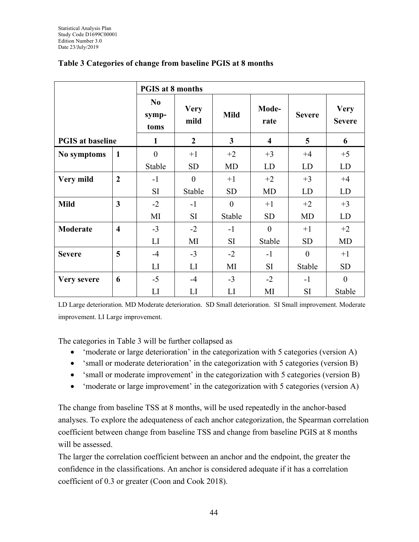|                         |                         | <b>PGIS at 8 months</b>         |                     |                |                         |               |                              |  |  |
|-------------------------|-------------------------|---------------------------------|---------------------|----------------|-------------------------|---------------|------------------------------|--|--|
|                         |                         | N <sub>0</sub><br>symp-<br>toms | <b>Very</b><br>mild | <b>Mild</b>    | Mode-<br>rate           | <b>Severe</b> | <b>Very</b><br><b>Severe</b> |  |  |
| <b>PGIS</b> at baseline |                         | 1                               | $\overline{2}$      | $\overline{3}$ | $\overline{\mathbf{4}}$ | 5             | 6                            |  |  |
| No symptoms             | $\mathbf{1}$            | $\boldsymbol{0}$                | $+1$                | $+2$           | $+3$                    | $+4$          | $+5$                         |  |  |
|                         |                         | Stable                          | <b>SD</b>           | <b>MD</b>      | <b>LD</b>               | LD            | LD                           |  |  |
| Very mild               | $\boldsymbol{2}$        | $-1$                            | $\mathbf{0}$        | $+1$           | $+2$                    | $+3$          | $+4$                         |  |  |
|                         |                         | <b>SI</b>                       | Stable              | <b>SD</b>      | <b>MD</b>               | LD            | LD                           |  |  |
| <b>Mild</b>             | $\overline{\mathbf{3}}$ | $-2$                            | $-1$                | $\overline{0}$ | $+1$                    | $+2$          | $+3$                         |  |  |
|                         |                         | MI                              | <b>SI</b>           | Stable         | <b>SD</b>               | <b>MD</b>     | LD                           |  |  |
| Moderate                | $\overline{\mathbf{4}}$ | $-3$                            | $-2$                | $-1$           | $\boldsymbol{0}$        | $+1$          | $+2$                         |  |  |
|                         |                         | LI                              | MI                  | <b>SI</b>      | Stable                  | <b>SD</b>     | <b>MD</b>                    |  |  |
| <b>Severe</b>           | 5                       | $-4$                            | $-3$                | $-2$           | $-1$                    | $\theta$      | $+1$                         |  |  |
|                         |                         | LI                              | LI                  | MI             | <b>SI</b>               | Stable        | <b>SD</b>                    |  |  |
| Very severe             | 6                       | $-5$                            | $-4$                | $-3$           | $-2$                    | $-1$          | $\theta$                     |  |  |
|                         |                         | LI                              | LI                  | LI             | MI                      | <b>SI</b>     | Stable                       |  |  |

### <span id="page-43-0"></span>**Table 3 Categories of change from baseline PGIS at 8 months**

LD Large deterioration. MD Moderate deterioration. SD Small deterioration. SI Small improvement. Moderate improvement. LI Large improvement.

The categories in [Table 3](#page-43-0) will be further collapsed as

- 'moderate or large deterioration' in the categorization with 5 categories (version A)
- 'small or moderate deterioration' in the categorization with 5 categories (version B)
- 'small or moderate improvement' in the categorization with 5 categories (version B)
- 'moderate or large improvement' in the categorization with 5 categories (version A)

The change from baseline TSS at 8 months, will be used repeatedly in the anchor-based analyses. To explore the adequateness of each anchor categorization, the Spearman correlation coefficient between change from baseline TSS and change from baseline PGIS at 8 months will be assessed.

The larger the correlation coefficient between an anchor and the endpoint, the greater the confidence in the classifications. An anchor is considered adequate if it has a correlation coefficient of 0.3 or greater [\(Coon and Cook 2018\)](#page-37-1).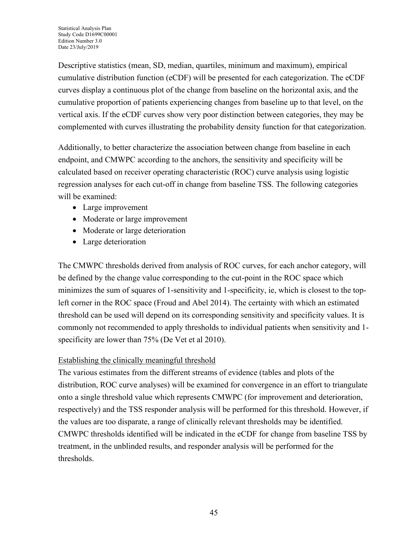Descriptive statistics (mean, SD, median, quartiles, minimum and maximum), empirical cumulative distribution function (eCDF) will be presented for each categorization. The eCDF curves display a continuous plot of the change from baseline on the horizontal axis, and the cumulative proportion of patients experiencing changes from baseline up to that level, on the vertical axis. If the eCDF curves show very poor distinction between categories, they may be complemented with curves illustrating the probability density function for that categorization.

Additionally, to better characterize the association between change from baseline in each endpoint, and CMWPC according to the anchors, the sensitivity and specificity will be calculated based on receiver operating characteristic (ROC) curve analysis using logistic regression analyses for each cut-off in change from baseline TSS. The following categories will be examined:

- Large improvement
- Moderate or large improvement
- Moderate or large deterioration
- Large deterioration

The CMWPC thresholds derived from analysis of ROC curves, for each anchor category, will be defined by the change value corresponding to the cut-point in the ROC space which minimizes the sum of squares of 1-sensitivity and 1-specificity, ie, which is closest to the topleft corner in the ROC space [\(Froud and Abel](#page-38-8) 2014). The certainty with which an estimated threshold can be used will depend on its corresponding sensitivity and specificity values. It is commonly not recommended to apply thresholds to individual patients when sensitivity and 1 specificity are lower than 75% [\(De Vet et al 2010\)](#page-37-2).

#### Establishing the clinically meaningful threshold

The various estimates from the different streams of evidence (tables and plots of the distribution, ROC curve analyses) will be examined for convergence in an effort to triangulate onto a single threshold value which represents CMWPC (for improvement and deterioration, respectively) and the TSS responder analysis will be performed for this threshold. However, if the values are too disparate, a range of clinically relevant thresholds may be identified. CMWPC thresholds identified will be indicated in the eCDF for change from baseline TSS by treatment, in the unblinded results, and responder analysis will be performed for the thresholds.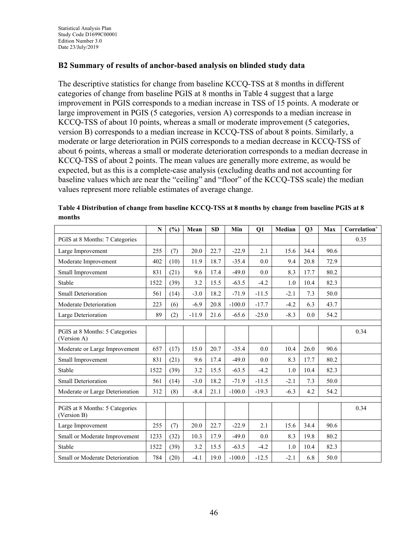### **B2 Summary of results of anchor-based analysis on blinded study data**

The descriptive statistics for change from baseline KCCQ-TSS at 8 months in different categories of change from baseline PGIS at 8 months in [Table 4](#page-45-0) suggest that a large improvement in PGIS corresponds to a median increase in TSS of 15 points. A moderate or large improvement in PGIS (5 categories, version A) corresponds to a median increase in KCCQ-TSS of about 10 points, whereas a small or moderate improvement (5 categories, version B) corresponds to a median increase in KCCQ-TSS of about 8 points. Similarly, a moderate or large deterioration in PGIS corresponds to a median decrease in KCCQ-TSS of about 6 points, whereas a small or moderate deterioration corresponds to a median decrease in KCCQ-TSS of about 2 points. The mean values are generally more extreme, as would be expected, but as this is a complete-case analysis (excluding deaths and not accounting for baseline values which are near the "ceiling" and "floor" of the KCCQ-TSS scale) the median values represent more reliable estimates of average change.

|                                               | N    | (%)  | Mean    | <b>SD</b> | Min      | Q1      | Median | Q3   | Max  | Correlation* |
|-----------------------------------------------|------|------|---------|-----------|----------|---------|--------|------|------|--------------|
| PGIS at 8 Months: 7 Categories                |      |      |         |           |          |         |        |      |      | 0.35         |
| Large Improvement                             | 255  | (7)  | 20.0    | 22.7      | $-22.9$  | 2.1     | 15.6   | 34.4 | 90.6 |              |
| Moderate Improvement                          | 402  | (10) | 11.9    | 18.7      | $-35.4$  | 0.0     | 9.4    | 20.8 | 72.9 |              |
| Small Improvement                             | 831  | (21) | 9.6     | 17.4      | $-49.0$  | 0.0     | 8.3    | 17.7 | 80.2 |              |
| Stable                                        | 1522 | (39) | 3.2     | 15.5      | $-63.5$  | $-4.2$  | 1.0    | 10.4 | 82.3 |              |
| Small Deterioration                           | 561  | (14) | $-3.0$  | 18.2      | $-71.9$  | $-11.5$ | $-2.1$ | 7.3  | 50.0 |              |
| Moderate Deterioration                        | 223  | (6)  | $-6.9$  | 20.8      | $-100.0$ | $-17.7$ | $-4.2$ | 6.3  | 43.7 |              |
| Large Deterioration                           | 89   | (2)  | $-11.9$ | 21.6      | $-65.6$  | $-25.0$ | $-8.3$ | 0.0  | 54.2 |              |
|                                               |      |      |         |           |          |         |        |      |      |              |
| PGIS at 8 Months: 5 Categories<br>(Version A) |      |      |         |           |          |         |        |      |      | 0.34         |
| Moderate or Large Improvement                 | 657  | (17) | 15.0    | 20.7      | $-35.4$  | 0.0     | 10.4   | 26.0 | 90.6 |              |
| Small Improvement                             | 831  | (21) | 9.6     | 17.4      | $-49.0$  | 0.0     | 8.3    | 17.7 | 80.2 |              |
| Stable                                        | 1522 | (39) | 3.2     | 15.5      | $-63.5$  | $-4.2$  | 1.0    | 10.4 | 82.3 |              |
| Small Deterioration                           | 561  | (14) | $-3.0$  | 18.2      | $-71.9$  | $-11.5$ | $-2.1$ | 7.3  | 50.0 |              |
| Moderate or Large Deterioration               | 312  | (8)  | $-8.4$  | 21.1      | $-100.0$ | $-19.3$ | $-6.3$ | 4.2  | 54.2 |              |
|                                               |      |      |         |           |          |         |        |      |      |              |
| PGIS at 8 Months: 5 Categories<br>(Version B) |      |      |         |           |          |         |        |      |      | 0.34         |
| Large Improvement                             | 255  | (7)  | 20.0    | 22.7      | $-22.9$  | 2.1     | 15.6   | 34.4 | 90.6 |              |
| Small or Moderate Improvement                 | 1233 | (32) | 10.3    | 17.9      | $-49.0$  | 0.0     | 8.3    | 19.8 | 80.2 |              |
| Stable                                        | 1522 | (39) | 3.2     | 15.5      | $-63.5$  | $-4.2$  | 1.0    | 10.4 | 82.3 |              |
| Small or Moderate Deterioration               | 784  | (20) | $-4.1$  | 19.0      | $-100.0$ | $-12.5$ | $-2.1$ | 6.8  | 50.0 |              |

<span id="page-45-0"></span>**Table 4 Distribution of change from baseline KCCQ-TSS at 8 months by change from baseline PGIS at 8 months**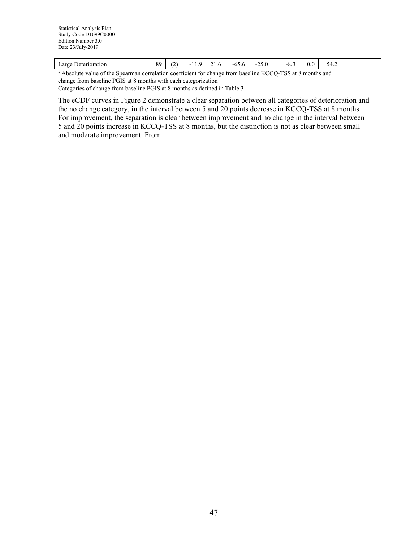| $\sim$ | $\lnot$ arge<br>rioration<br>. Jet | $^{\circ}$<br>ັ<br>. . |  | --<br>11.7 | $\overline{\phantom{a}}$<br>$\sim$ $\sim$ | -65.6 | $\sim$ $\sim$<br>⌒<br>$-25.0$<br>$\sim$ $\prime$ | $-7$<br><b></b> | 0.0 | 74<br>. |  |
|--------|------------------------------------|------------------------|--|------------|-------------------------------------------|-------|--------------------------------------------------|-----------------|-----|---------|--|
|--------|------------------------------------|------------------------|--|------------|-------------------------------------------|-------|--------------------------------------------------|-----------------|-----|---------|--|

<sup>a</sup> Absolute value of the Spearman correlation coefficient for change from baseline KCCQ-TSS at 8 months and change from baseline PGIS at 8 months with each categorization Categories of change from baseline PGIS at 8 months as defined in [Table 3](#page-43-0)

The eCDF curves in [Figure 2](#page-47-0) demonstrate a clear separation between all categories of deterioration and the no change category, in the interval between 5 and 20 points decrease in KCCQ-TSS at 8 months. For improvement, the separation is clear between improvement and no change in the interval between 5 and 20 points increase in KCCQ-TSS at 8 months, but the distinction is not as clear between small and moderate improvement. From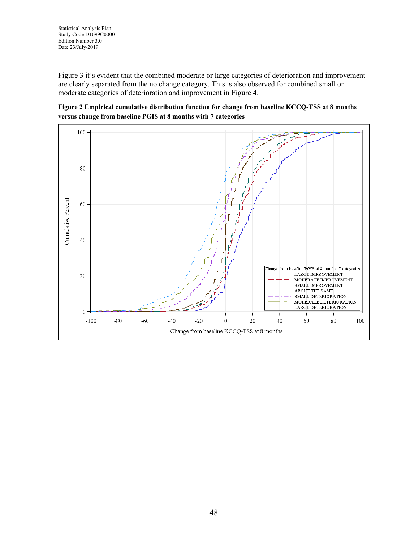[Figure](#page-47-1) 3 it's evident that the combined moderate or large categories of deterioration and improvement are clearly separated from the no change category. This is also observed for combined small or moderate categories of deterioration and improvement in [Figure 4.](#page-49-0)

<span id="page-47-0"></span>

<span id="page-47-1"></span>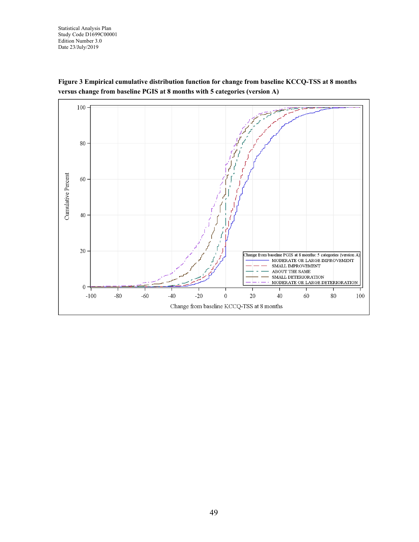Statistical Analysis Plan Study Code D1699C00001 Edition Number 3.0 Date 23/July/2019



**Figure 3 Empirical cumulative distribution function for change from baseline KCCQ-TSS at 8 months versus change from baseline PGIS at 8 months with 5 categories (version A)**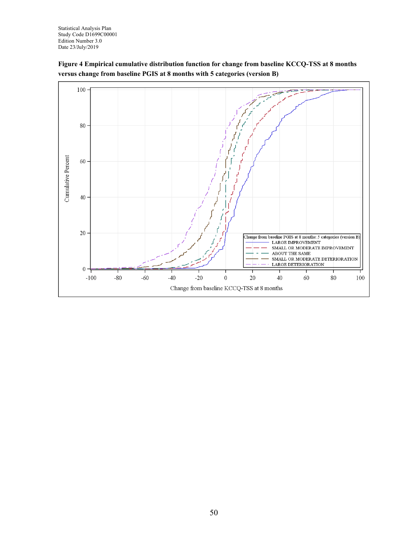

#### <span id="page-49-0"></span>**Figure 4 Empirical cumulative distribution function for change from baseline KCCQ-TSS at 8 months versus change from baseline PGIS at 8 months with 5 categories (version B)**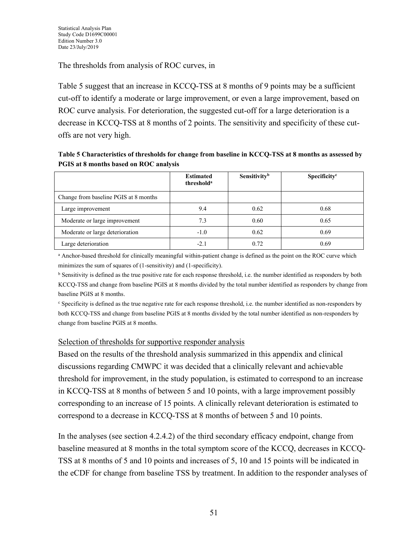The thresholds from analysis of ROC curves, in

[Table](#page-50-0) 5 suggest that an increase in KCCQ-TSS at 8 months of 9 points may be a sufficient cut-off to identify a moderate or large improvement, or even a large improvement, based on ROC curve analysis. For deterioration, the suggested cut-off for a large deterioration is a decrease in KCCQ-TSS at 8 months of 2 points. The sensitivity and specificity of these cutoffs are not very high.

<span id="page-50-0"></span>

| Table 5 Characteristics of thresholds for change from baseline in KCCQ-TSS at 8 months as assessed by |
|-------------------------------------------------------------------------------------------------------|
| PGIS at 8 months based on ROC analysis                                                                |

|                                       | <b>Estimated</b><br>threshold <sup>a</sup> | Sensitivity <sup>b</sup> | Specificity <sup>c</sup> |
|---------------------------------------|--------------------------------------------|--------------------------|--------------------------|
| Change from baseline PGIS at 8 months |                                            |                          |                          |
| Large improvement                     | 9.4                                        | 0.62                     | 0.68                     |
| Moderate or large improvement         | 7.3                                        | 0.60                     | 0.65                     |
| Moderate or large deterioration       | $-1.0$                                     | 0.62                     | 0.69                     |
| Large deterioration                   | $-2.1$                                     | 0.72                     | 0.69                     |

<sup>a</sup> Anchor-based threshold for clinically meaningful within-patient change is defined as the point on the ROC curve which minimizes the sum of squares of (1-sensitivity) and (1-specificity).

<sup>b</sup> Sensitivity is defined as the true positive rate for each response threshold, i.e. the number identified as responders by both KCCQ-TSS and change from baseline PGIS at 8 months divided by the total number identified as responders by change from baseline PGIS at 8 months.

<sup>c</sup> Specificity is defined as the true negative rate for each response threshold, i.e. the number identified as non-responders by both KCCQ-TSS and change from baseline PGIS at 8 months divided by the total number identified as non-responders by change from baseline PGIS at 8 months.

#### Selection of thresholds for supportive responder analysis

Based on the results of the threshold analysis summarized in this appendix and clinical discussions regarding CMWPC it was decided that a clinically relevant and achievable threshold for improvement, in the study population, is estimated to correspond to an increase in KCCQ-TSS at 8 months of between 5 and 10 points, with a large improvement possibly corresponding to an increase of 15 points. A clinically relevant deterioration is estimated to correspond to a decrease in KCCQ-TSS at 8 months of between 5 and 10 points.

In the analyses (see section [4.2.4.2\)](#page-29-0) of the third secondary efficacy endpoint, change from baseline measured at 8 months in the total symptom score of the KCCQ, decreases in KCCQ-TSS at 8 months of 5 and 10 points and increases of 5, 10 and 15 points will be indicated in the eCDF for change from baseline TSS by treatment. In addition to the responder analyses of